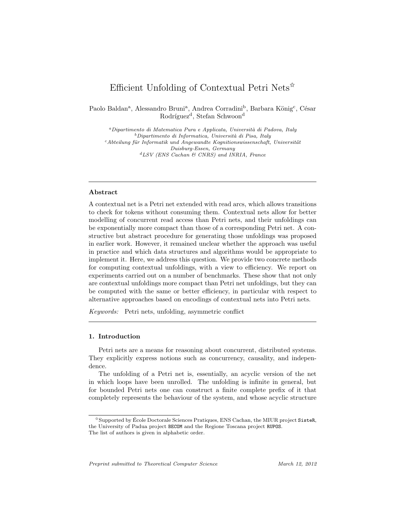# Efficient Unfolding of Contextual Petri Nets<sup> $\hat{\mathbf{x}}$ </sup>

Paolo Baldan<sup>a</sup>, Alessandro Bruni<sup>a</sup>, Andrea Corradini<sup>b</sup>, Barbara König<sup>c</sup>, César Rodríguez<sup>d</sup>, Stefan Schwoon<sup>d</sup>

 $a$ Dipartimento di Matematica Pura e Applicata, Università di Padova, Italy  $b$ Dipartimento di Informatica, Università di Pisa, Italy  $c$ Abteilung für Informatik und Angewandte Kognitionswissenschaft, Universität Duisburg-Essen, Germany  ${}^{d}LSV$  (ENS Cachan & CNRS) and INRIA, France

# Abstract

A contextual net is a Petri net extended with read arcs, which allows transitions to check for tokens without consuming them. Contextual nets allow for better modelling of concurrent read access than Petri nets, and their unfoldings can be exponentially more compact than those of a corresponding Petri net. A constructive but abstract procedure for generating those unfoldings was proposed in earlier work. However, it remained unclear whether the approach was useful in practice and which data structures and algorithms would be appropriate to implement it. Here, we address this question. We provide two concrete methods for computing contextual unfoldings, with a view to efficiency. We report on experiments carried out on a number of benchmarks. These show that not only are contextual unfoldings more compact than Petri net unfoldings, but they can be computed with the same or better efficiency, in particular with respect to alternative approaches based on encodings of contextual nets into Petri nets.

Keywords: Petri nets, unfolding, asymmetric conflict

# 1. Introduction

Petri nets are a means for reasoning about concurrent, distributed systems. They explicitly express notions such as concurrency, causality, and independence.

The unfolding of a Petri net is, essentially, an acyclic version of the net in which loops have been unrolled. The unfolding is infinite in general, but for bounded Petri nets one can construct a finite complete prefix of it that completely represents the behaviour of the system, and whose acyclic structure

Preprint submitted to Theoretical Computer Science March 12, 2012

 $\hat{\mathbf{x}}$ Supported by École Doctorale Sciences Pratiques, ENS Cachan, the MIUR project SisteR, the University of Padua project BECOM and the Regione Toscana project RUPOS. The list of authors is given in alphabetic order.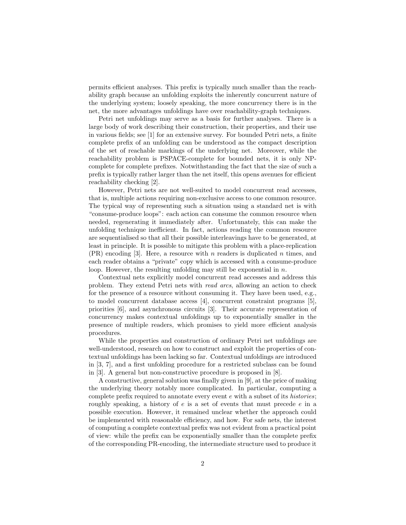permits efficient analyses. This prefix is typically much smaller than the reachability graph because an unfolding exploits the inherently concurrent nature of the underlying system; loosely speaking, the more concurrency there is in the net, the more advantages unfoldings have over reachability-graph techniques.

Petri net unfoldings may serve as a basis for further analyses. There is a large body of work describing their construction, their properties, and their use in various fields; see [1] for an extensive survey. For bounded Petri nets, a finite complete prefix of an unfolding can be understood as the compact description of the set of reachable markings of the underlying net. Moreover, while the reachability problem is PSPACE-complete for bounded nets, it is only NPcomplete for complete prefixes. Notwithstanding the fact that the size of such a prefix is typically rather larger than the net itself, this opens avenues for efficient reachability checking [2].

However, Petri nets are not well-suited to model concurrent read accesses, that is, multiple actions requiring non-exclusive access to one common resource. The typical way of representing such a situation using a standard net is with "consume-produce loops": each action can consume the common resource when needed, regenerating it immediately after. Unfortunately, this can make the unfolding technique inefficient. In fact, actions reading the common resource are sequentialised so that all their possible interleavings have to be generated, at least in principle. It is possible to mitigate this problem with a place-replication  $(PR)$  encoding [3]. Here, a resource with n readers is duplicated n times, and each reader obtains a "private" copy which is accessed with a consume-produce loop. However, the resulting unfolding may still be exponential in  $n$ .

Contextual nets explicitly model concurrent read accesses and address this problem. They extend Petri nets with read arcs, allowing an action to check for the presence of a resource without consuming it. They have been used, e.g., to model concurrent database access [4], concurrent constraint programs [5], priorities [6], and asynchronous circuits [3]. Their accurate representation of concurrency makes contextual unfoldings up to exponentially smaller in the presence of multiple readers, which promises to yield more efficient analysis procedures.

While the properties and construction of ordinary Petri net unfoldings are well-understood, research on how to construct and exploit the properties of contextual unfoldings has been lacking so far. Contextual unfoldings are introduced in [3, 7], and a first unfolding procedure for a restricted subclass can be found in [3]. A general but non-constructive procedure is proposed in [8].

A constructive, general solution was finally given in [9], at the price of making the underlying theory notably more complicated. In particular, computing a complete prefix required to annotate every event  $e$  with a subset of its *histories*; roughly speaking, a history of  $e$  is a set of events that must precede  $e$  in a possible execution. However, it remained unclear whether the approach could be implemented with reasonable efficiency, and how. For safe nets, the interest of computing a complete contextual prefix was not evident from a practical point of view: while the prefix can be exponentially smaller than the complete prefix of the corresponding PR-encoding, the intermediate structure used to produce it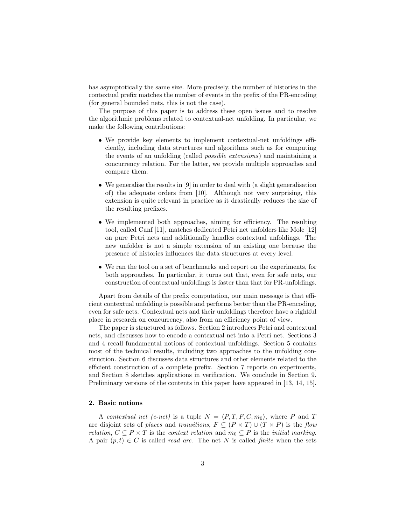has asymptotically the same size. More precisely, the number of histories in the contextual prefix matches the number of events in the prefix of the PR-encoding (for general bounded nets, this is not the case).

The purpose of this paper is to address these open issues and to resolve the algorithmic problems related to contextual-net unfolding. In particular, we make the following contributions:

- We provide key elements to implement contextual-net unfoldings efficiently, including data structures and algorithms such as for computing the events of an unfolding (called possible extensions) and maintaining a concurrency relation. For the latter, we provide multiple approaches and compare them.
- We generalise the results in [9] in order to deal with (a slight generalisation of) the adequate orders from [10]. Although not very surprising, this extension is quite relevant in practice as it drastically reduces the size of the resulting prefixes.
- We implemented both approaches, aiming for efficiency. The resulting tool, called Cunf [11], matches dedicated Petri net unfolders like Mole [12] on pure Petri nets and additionally handles contextual unfoldings. The new unfolder is not a simple extension of an existing one because the presence of histories influences the data structures at every level.
- We ran the tool on a set of benchmarks and report on the experiments, for both approaches. In particular, it turns out that, even for safe nets, our construction of contextual unfoldings is faster than that for PR-unfoldings.

Apart from details of the prefix computation, our main message is that efficient contextual unfolding is possible and performs better than the PR-encoding, even for safe nets. Contextual nets and their unfoldings therefore have a rightful place in research on concurrency, also from an efficiency point of view.

The paper is structured as follows. Section 2 introduces Petri and contextual nets, and discusses how to encode a contextual net into a Petri net. Sections 3 and 4 recall fundamental notions of contextual unfoldings. Section 5 contains most of the technical results, including two approaches to the unfolding construction. Section 6 discusses data structures and other elements related to the efficient construction of a complete prefix. Section 7 reports on experiments, and Section 8 sketches applications in verification. We conclude in Section 9. Preliminary versions of the contents in this paper have appeared in [13, 14, 15].

# 2. Basic notions

A contextual net (c-net) is a tuple  $N = \langle P, T, F, C, m_0 \rangle$ , where P and T are disjoint sets of places and transitions,  $F \subseteq (P \times T) \cup (T \times P)$  is the flow relation,  $C \subseteq P \times T$  is the context relation and  $m_0 \subseteq P$  is the initial marking. A pair  $(p, t) \in C$  is called *read arc*. The net N is called *finite* when the sets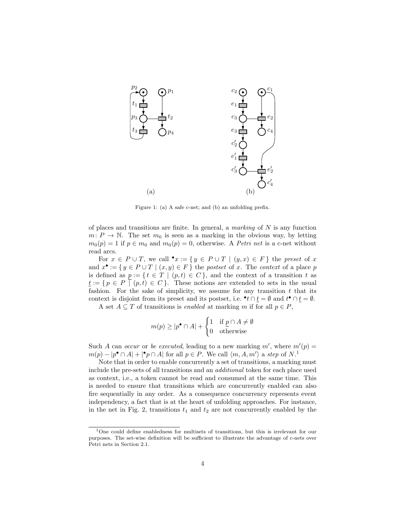

Figure 1: (a) A safe c-net; and (b) an unfolding prefix.

of places and transitions are finite. In general, a marking of  $N$  is any function  $m: P \to \mathbb{N}$ . The set  $m_0$  is seen as a marking in the obvious way, by letting  $m_0(p) = 1$  if  $p \in m_0$  and  $m_0(p) = 0$ , otherwise. A *Petri net* is a c-net without read arcs.

For  $x \in P \cup T$ , we call  $\bullet x := \{ y \in P \cup T \mid (y, x) \in F \}$  the preset of x and  $x^{\bullet} := \{ y \in P \cup T \mid (x, y) \in F \}$  the postset of x. The context of a place p is defined as  $p := \{ t \in T \mid (p, t) \in C \}$ , and the context of a transition t as  $\underline{t} := \{ p \in P \mid (p, t) \in C \}.$  These notions are extended to sets in the usual fashion. For the sake of simplicity, we assume for any transition  $t$  that its context is disjoint from its preset and its postset, i.e.  $\bullet$   $t \cap \underline{t} = \emptyset$  and  $t^{\bullet} \cap \underline{t} = \emptyset$ .

A set  $A \subseteq T$  of transitions is *enabled* at marking m if for all  $p \in P$ ,

$$
m(p) \ge |p^{\bullet} \cap A| + \begin{cases} 1 & \text{if } \underline{p} \cap A \neq \emptyset \\ 0 & \text{otherwise} \end{cases}
$$

Such A can occur or be executed, leading to a new marking  $m'$ , where  $m'(p) =$  $m(p) - |p^{\bullet} \cap A| + |^{\bullet} p \cap A|$  for all  $p \in P$ . We call  $\langle m, A, m' \rangle$  a step of  $N$ <sup>1</sup>.

Note that in order to enable concurrently a set of transitions, a marking must include the pre-sets of all transitions and an additional token for each place used as context, i.e., a token cannot be read and consumed at the same time. This is needed to ensure that transitions which are concurrently enabled can also fire sequentially in any order. As a consequence concurrency represents event independency, a fact that is at the heart of unfolding approaches. For instance, in the net in Fig. 2, transitions  $t_1$  and  $t_2$  are not concurrently enabled by the

<sup>1</sup>One could define enabledness for multisets of transitions, but this is irrelevant for our purposes. The set-wise definition will be sufficient to illustrate the advantage of c-nets over Petri nets in Section 2.1.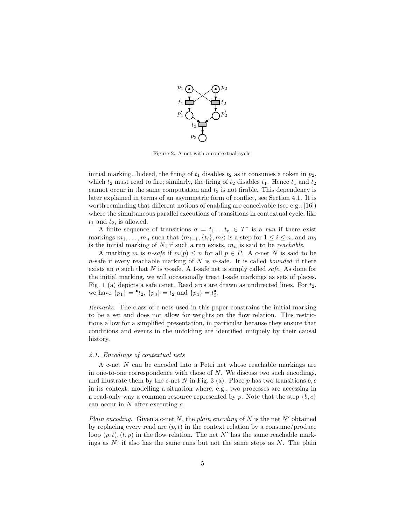

Figure 2: A net with a contextual cycle.

initial marking. Indeed, the firing of  $t_1$  disables  $t_2$  as it consumes a token in  $p_2$ , which  $t_2$  must read to fire; similarly, the firing of  $t_2$  disables  $t_1$ . Hence  $t_1$  and  $t_2$ cannot occur in the same computation and  $t_3$  is not firable. This dependency is later explained in terms of an asymmetric form of conflict, see Section 4.1. It is worth reminding that different notions of enabling are conceivable (see e.g.,  $[16]$ ) where the simultaneous parallel executions of transitions in contextual cycle, like  $t_1$  and  $t_2$ , is allowed.

A finite sequence of transitions  $\sigma = t_1 \dots t_n \in T^*$  is a run if there exist markings  $m_1, \ldots, m_n$  such that  $\langle m_{i-1}, \{t_i\}, m_i \rangle$  is a step for  $1 \le i \le n$ , and  $m_0$ is the initial marking of  $N$ ; if such a run exists,  $m_n$  is said to be *reachable*.

A marking m is n-safe if  $m(p) \leq n$  for all  $p \in P$ . A c-net N is said to be n-safe if every reachable marking of  $N$  is n-safe. It is called bounded if there exists an n such that N is n-safe. A 1-safe net is simply called *safe*. As done for the initial marking, we will occasionally treat 1-safe markings as sets of places. Fig. 1 (a) depicts a safe c-net. Read arcs are drawn as undirected lines. For  $t_2$ , we have  $\{p_1\} = \bullet t_2$ ,  $\{p_3\} = \underline{t_2}$  and  $\{p_4\} = t_2^{\bullet}$ .

Remarks. The class of c-nets used in this paper constrains the initial marking to be a set and does not allow for weights on the flow relation. This restrictions allow for a simplified presentation, in particular because they ensure that conditions and events in the unfolding are identified uniquely by their causal history.

#### 2.1. Encodings of contextual nets

A c-net N can be encoded into a Petri net whose reachable markings are in one-to-one correspondence with those of  $N$ . We discuss two such encodings, and illustrate them by the c-net N in Fig. 3 (a). Place p has two transitions  $b, c$ in its context, modelling a situation where, e.g., two processes are accessing in a read-only way a common resource represented by  $p$ . Note that the step  $\{b, c\}$ can occur in  $N$  after executing  $a$ .

Plain encoding. Given a c-net N, the plain encoding of N is the net  $N'$  obtained by replacing every read arc  $(p, t)$  in the context relation by a consume/produce loop  $(p, t)$ ,  $(t, p)$  in the flow relation. The net N' has the same reachable markings as  $N$ ; it also has the same runs but not the same steps as  $N$ . The plain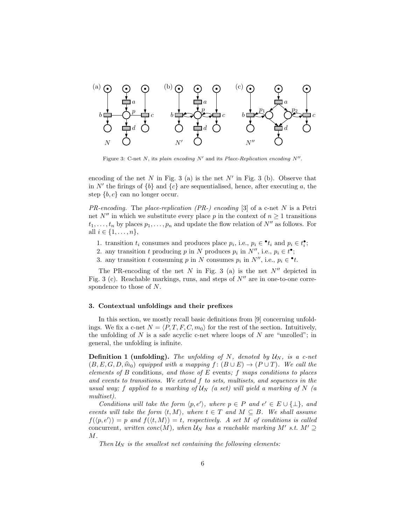

Figure 3: C-net N, its plain encoding  $N'$  and its Place-Replication encoding  $N''$ .

encoding of the net  $N$  in Fig. 3 (a) is the net  $N'$  in Fig. 3 (b). Observe that in  $N'$  the firings of  ${b}$  and  ${c}$  are sequentialised, hence, after executing a, the step  $\{b, c\}$  can no longer occur.

 $PR\text{-}encoding$ . The place-replication (PR-) encoding [3] of a c-net N is a Petri net N<sup>n</sup> in which we substitute every place p in the context of  $n \geq 1$  transitions  $t_1, \ldots, t_n$  by places  $p_1, \ldots, p_n$  and update the flow relation of  $N''$  as follows. For all  $i \in \{1, ..., n\},\$ 

- 1. transition  $t_i$  consumes and produces place  $p_i$ , i.e.,  $p_i \in \cdot t_i$  and  $p_i \in t_i^{\bullet}$ ;
- 2. any transition t producing p in N produces  $p_i$  in  $N''$ , i.e.,  $p_i \in t^{\bullet}$ ;
- 3. any transition t consuming p in N consumes  $p_i$  in  $N''$ , i.e.,  $p_i \in \cdot t$ .

The PR-encoding of the net  $N$  in Fig. 3 (a) is the net  $N''$  depicted in Fig. 3 (c). Reachable markings, runs, and steps of  $N''$  are in one-to-one correspondence to those of N.

## 3. Contextual unfoldings and their prefixes

In this section, we mostly recall basic definitions from [9] concerning unfoldings. We fix a c-net  $N = \langle P, T, F, C, m_0 \rangle$  for the rest of the section. Intuitively, the unfolding of  $N$  is a safe acyclic c-net where loops of  $N$  are "unrolled"; in general, the unfolding is infinite.

**Definition 1 (unfolding).** The unfolding of N, denoted by  $U_N$ , is a c-net  $(B, E, G, D, \hat{m}_0)$  equipped with a mapping  $f : (B \cup E) \rightarrow (P \cup T)$ . We call the elements of B conditions, and those of E events; f maps conditions to places and events to transitions. We extend f to sets, multisets, and sequences in the usual way; f applied to a marking of  $U_N$  (a set) will yield a marking of N (a multiset).

Conditions will take the form  $\langle p, e' \rangle$ , where  $p \in P$  and  $e' \in E \cup \{\perp\}$ , and events will take the form  $\langle t, M \rangle$ , where  $t \in T$  and  $M \subseteq B$ . We shall assume  $f(\langle p, e' \rangle) = p$  and  $f(\langle t, M \rangle) = t$ , respectively. A set M of conditions is called concurrent, written conc $(M)$ , when  $\mathcal{U}_N$  has a reachable marking M' s.t.  $M' \supseteq$ M.

Then  $U_N$  is the smallest net containing the following elements: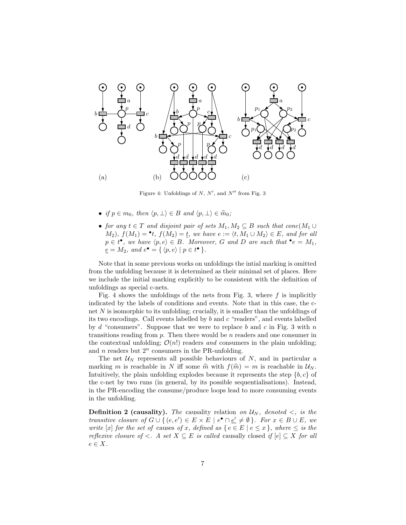

Figure 4: Unfoldings of  $N, N',$  and  $N''$  from Fig. 3

- if  $p \in m_0$ , then  $\langle p, \perp \rangle \in B$  and  $\langle p, \perp \rangle \in \hat{m}_0$ ;
- for any  $t \in T$  and disjoint pair of sets  $M_1, M_2 \subseteq B$  such that conc $(M_1 \cup$  $(M_2)$ ,  $f(M_1) = \cdot t$ ,  $f(M_2) = \underline{t}$ , we have  $e := \langle t, M_1 \cup M_2 \rangle \in E$ , and for all  $p \in t^{\bullet}$ , we have  $\langle p, e \rangle \in B$ . Moreover, G and D are such that  $\bullet e = M_1$ ,  $\underline{e} = M_2$ , and  $e^{\bullet} = \{ \langle p, e \rangle \mid p \in t^{\bullet} \}.$

Note that in some previous works on unfoldings the intial marking is omitted from the unfolding because it is determined as their minimal set of places. Here we include the initial marking explicitly to be consistent with the definition of unfoldings as special c-nets.

Fig. 4 shows the unfoldings of the nets from Fig. 3, where  $f$  is implicitly indicated by the labels of conditions and events. Note that in this case, the cnet  $N$  is isomorphic to its unfolding; crucially, it is smaller than the unfoldings of its two encodings. Call events labelled by b and c "readers", and events labelled by d "consumers". Suppose that we were to replace b and c in Fig. 3 with n transitions reading from  $p$ . Then there would be  $n$  readers and one consumer in the contextual unfolding;  $\mathcal{O}(n!)$  readers and consumers in the plain unfolding; and  $n$  readers but  $2^n$  consumers in the PR-unfolding.

The net  $\mathcal{U}_N$  represents all possible behaviours of N, and in particular a marking m is reachable in N iff some  $\hat{m}$  with  $f(\hat{m}) = m$  is reachable in  $\mathcal{U}_N$ . Intuitively, the plain unfolding explodes because it represents the step  ${b, c}$  of the c-net by two runs (in general, by its possible sequentialisations). Instead, in the PR-encoding the consume/produce loops lead to more consuming events in the unfolding.

**Definition 2 (causality).** The causality relation on  $U_N$ , denoted  $\lt$ , is the transitive closure of  $G \cup \{ (e, e') \in E \times E \mid e^{\bullet} \cap \underline{e'} \neq \emptyset \}$ . For  $x \in B \cup E$ , we write [x] for the set of causes of x, defined as  $\{e \in E \mid e \leq x\}$ , where  $\leq$  is the reflexive closure of  $\lt$ . A set  $X \subseteq E$  is called causally closed if  $[e] \subseteq X$  for all  $e \in X$ .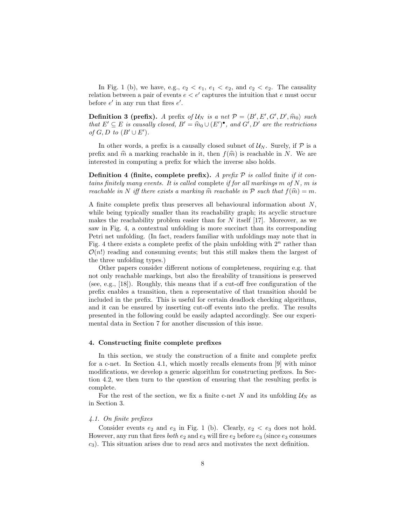In Fig. 1 (b), we have, e.g.,  $c_2 < e_1, e_1 < e_2$ , and  $c_2 < e_2$ . The causality relation between a pair of events  $e < e'$  captures the intuition that e must occur before  $e'$  in any run that fires  $e'$ .

**Definition 3 (prefix).** A prefix of  $U_N$  is a net  $\mathcal{P} = \langle B', E', G', D', \hat{m}_0 \rangle$  such that  $F' \subset F$  is causally closed.  $B' = \hat{m}_{\text{old}} + (F') \bullet$  and  $G' \subset D'$  are the restrictions that  $E' \subseteq E$  is causally closed,  $B' = \widehat{m}_0 \cup (E')^{\bullet}$ , and  $G', D'$  are the restrictions of  $G, D \nmid_{D} (B' \cup F')$ of  $G, D$  to  $(B' \cup E')$ .

In other words, a prefix is a causally closed subnet of  $\mathcal{U}_N$ . Surely, if  $\mathcal P$  is a prefix and  $\hat{m}$  a marking reachable in it, then  $f(\hat{m})$  is reachable in N. We are interested in computing a prefix for which the inverse also holds.

**Definition 4 (finite, complete prefix).** A prefix  $P$  is called finite if it contains finitely many events. It is called complete if for all markings m of  $N$ , m is reachable in N iff there exists a marking  $\widehat{m}$  reachable in P such that  $f(\widehat{m}) = m$ .

A finite complete prefix thus preserves all behavioural information about N, while being typically smaller than its reachability graph; its acyclic structure makes the reachability problem easier than for  $N$  itself [17]. Moreover, as we saw in Fig. 4, a contextual unfolding is more succinct than its corresponding Petri net unfolding. (In fact, readers familiar with unfoldings may note that in Fig. 4 there exists a complete prefix of the plain unfolding with  $2^n$  rather than  $\mathcal{O}(n!)$  reading and consuming events; but this still makes them the largest of the three unfolding types.)

Other papers consider different notions of completeness, requiring e.g. that not only reachable markings, but also the fireability of transitions is preserved (see, e.g., [18]). Roughly, this means that if a cut-off free configuration of the prefix enables a transition, then a representative of that transition should be included in the prefix. This is useful for certain deadlock checking algorithms, and it can be ensured by inserting cut-off events into the prefix. The results presented in the following could be easily adapted accordingly. See our experimental data in Section 7 for another discussion of this issue.

# 4. Constructing finite complete prefixes

In this section, we study the construction of a finite and complete prefix for a c-net. In Section 4.1, which mostly recalls elements from [9] with minor modifications, we develop a generic algorithm for constructing prefixes. In Section 4.2, we then turn to the question of ensuring that the resulting prefix is complete.

For the rest of the section, we fix a finite c-net N and its unfolding  $\mathcal{U}_N$  as in Section 3.

# 4.1. On finite prefixes

Consider events  $e_2$  and  $e_3$  in Fig. 1 (b). Clearly,  $e_2 < e_3$  does not hold. However, any run that fires *both*  $e_2$  and  $e_3$  will fire  $e_2$  before  $e_3$  (since  $e_3$  consumes  $c_3$ ). This situation arises due to read arcs and motivates the next definition.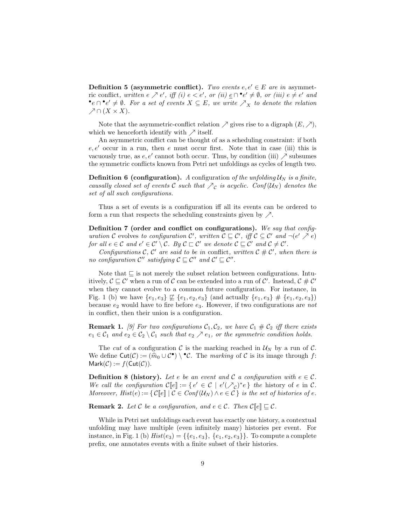**Definition 5 (asymmetric conflict).** Two events  $e, e' \in E$  are in asymmetric conflict, written  $e \nearrow e'$ , iff  $(i) e < e'$ , or  $(ii) e \cap \bullet e' \neq \emptyset$ , or  $(iii) e \neq e'$  and •e ∩•e'  $\neq \emptyset$ . For a set of events  $X \subseteq E$ , we write  $\nearrow_X$  to denote the relation  $\nearrow \cap (X \times X).$ 

Note that the asymmetric-conflict relation  $\nearrow$  gives rise to a digraph  $(E, \nearrow)$ , which we henceforth identify with  $\nearrow$  itself.

An asymmetric conflict can be thought of as a scheduling constraint: if both  $e, e'$  occur in a run, then e must occur first. Note that in case (iii) this is vacuously true, as  $e, e'$  cannot both occur. Thus, by condition (iii)  $\nearrow$  subsumes the symmetric conflicts known from Petri net unfoldings as cycles of length two.

**Definition 6 (configuration).** A configuration of the unfolding  $U_N$  is a finite, causally closed set of events  $C$  such that  $\bigwedge_{\mathcal{C}}$  is acyclic. Conf( $\mathcal{U}_N$ ) denotes the set of all such configurations.

Thus a set of events is a configuration iff all its events can be ordered to form a run that respects the scheduling constraints given by  $\nearrow$ .

Definition 7 (order and conflict on configurations). We say that configuration C evolves to configuration C', written  $\mathcal{C} \subseteq \mathcal{C}'$ , iff  $\mathcal{C} \subseteq \mathcal{C}'$  and  $\neg(e' \nearrow e)$ for all  $e \in \mathcal{C}$  and  $e' \in \mathcal{C}' \setminus \mathcal{C}$ . By  $\mathcal{C} \sqsubset \mathcal{C}'$  we denote  $\mathcal{C} \sqsubseteq \mathcal{C}'$  and  $\mathcal{C} \neq \mathcal{C}'$ .

Configurations C, C' are said to be in conflict, written  $C \# C'$ , when there is no configuration  $\mathcal{C}''$  satisfying  $\mathcal{C} \subseteq \mathcal{C}''$  and  $\mathcal{C}' \subseteq \mathcal{C}''$ .

Note that  $\subseteq$  is not merely the subset relation between configurations. Intuitively,  $C \sqsubseteq C'$  when a run of C can be extended into a run of C'. Instead,  $C \# C'$ when they cannot evolve to a common future configuration. For instance, in Fig. 1 (b) we have  ${e_1, e_3} \not\sqsubseteq {e_1, e_2, e_3}$  (and actually  ${e_1, e_3} \not\equiv {e_1, e_2, e_3}$ ) because  $e_2$  would have to fire before  $e_3$ . However, if two configurations are *not* in conflict, then their union is a configuration.

**Remark 1.** [9] For two configurations  $C_1, C_2$ , we have  $C_1 \# C_2$  iff there exists  $e_1 \in C_1$  and  $e_2 \in C_2 \setminus C_1$  such that  $e_2 \nearrow e_1$ , or the symmetric condition holds.

The cut of a configuration C is the marking reached in  $\mathcal{U}_N$  by a run of C. We define  $\text{Cut}(\mathcal{C}) := (\widehat{m}_0 \cup \mathcal{C}^{\bullet}) \setminus {}^{\bullet}\mathcal{C}$ . The *marking* of  $\mathcal{C}$  is its image through  $f: \text{Mark}(\mathcal{C}) := f(\text{Cut}(\mathcal{C}))$  $Mark(\mathcal{C}) := f(Cut(\mathcal{C})).$ 

**Definition 8 (history).** Let e be an event and C a configuration with  $e \in \mathcal{C}$ . We call the configuration  $\mathcal{C}[[e]] := \{ e' \in \mathcal{C} \mid e'(\mathcal{N}_c)^* e \}$  the history of e in  $\mathcal{C}$ . Moreover,  $Hist(e) := \{ \mathcal{C}[\![e]\!] \mid \mathcal{C} \in Conf(\mathcal{U}_N) \land e \in \mathcal{C} \}$  is the set of histories of e.

**Remark 2.** Let C be a configuration, and  $e \in \mathcal{C}$ . Then  $\mathcal{C}[\![e]\!] \sqsubseteq \mathcal{C}$ .

While in Petri net unfoldings each event has exactly one history, a contextual unfolding may have multiple (even infinitely many) histories per event. For instance, in Fig. 1 (b)  $Hist(e_3) = \{\{e_1, e_3\}, \{e_1, e_2, e_3\}\}\.$  To compute a complete prefix, one annotates events with a finite subset of their histories.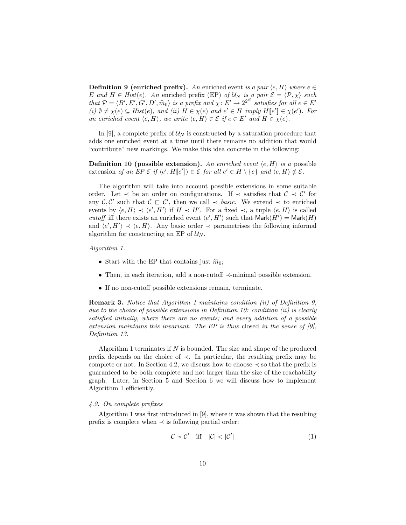**Definition 9 (enriched prefix).** An enriched event is a pair  $\langle e, H \rangle$  where  $e \in$ E and  $H \in Hist(e)$ . An enriched prefix (EP) of  $\mathcal{U}_N$  is a pair  $\mathcal{E} = \langle \mathcal{P}, \chi \rangle$  such that  $\mathcal{P} = \langle B', E', G', D', \hat{m}_0 \rangle$  is a prefix and  $\chi: E' \to 2^{2^E}$  satisfies for all  $e \in E'$ <br>(i)  $\emptyset \neq \chi(e) \subset$  Hiet $(e)$  and (ii)  $H \in \chi(e)$  and  $e' \in H$  imply  $H[[e']] \in \chi(e')$  For (i)  $\emptyset \neq \chi(e) \subseteq Hist(e)$ , and (ii)  $H \in \chi(e)$  and  $e' \in H$  imply  $H[[e']] \in \chi(e')$ . For an enriched event  $\langle e, H \rangle$ , we write  $\langle e, H \rangle \in \mathcal{E}$  if  $e \in E'$  and  $H \in \chi(e)$ .

In [9], a complete prefix of  $\mathcal{U}_N$  is constructed by a saturation procedure that adds one enriched event at a time until there remains no addition that would "contribute" new markings. We make this idea concrete in the following:

**Definition 10 (possible extension).** An enriched event  $\langle e, H \rangle$  is a possible extension of an EP  $\mathcal{E}$  if  $\langle e', H[[e']] \rangle \in \mathcal{E}$  for all  $e' \in H \setminus \{e\}$  and  $\langle e, H \rangle \notin \mathcal{E}$ .

The algorithm will take into account possible extensions in some suitable order. Let  $\prec$  be an order on configurations. If  $\prec$  satisfies that  $\mathcal{C} \prec \mathcal{C}'$  for any  $\mathcal{C}, \mathcal{C}'$  such that  $\mathcal{C} \subset \mathcal{C}'$ , then we call  $\prec$  basic. We extend  $\prec$  to enriched events by  $\langle e, H \rangle \prec \langle e', H' \rangle$  if  $H \prec H'$ . For a fixed  $\prec$ , a tuple  $\langle e, H \rangle$  is called cutoff iff there exists an enriched event  $\langle e', H' \rangle$  such that  $\mathsf{Mark}(H') = \mathsf{Mark}(H)$ and  $\langle e', H' \rangle \prec \langle e, H \rangle$ . Any basic order  $\prec$  parametrises the following informal algorithm for constructing an EP of  $\mathcal{U}_N$ .

## Algorithm 1.

- Start with the EP that contains just  $\hat{m}_0$ ;
- Then, in each iteration, add a non-cutoff ≺-minimal possible extension.
- If no non-cutoff possible extensions remain, terminate.

Remark 3. Notice that Algorithm 1 maintains condition (ii) of Definition 9, due to the choice of possible extensions in Definition 10: condition (ii) is clearly satisfied initially, where there are no events; and every addition of a possible extension maintains this invariant. The EP is thus closed in the sense of  $[9]$ , Definition 13.

Algorithm 1 terminates if  $N$  is bounded. The size and shape of the produced prefix depends on the choice of ≺. In particular, the resulting prefix may be complete or not. In Section 4.2, we discuss how to choose  $\prec$  so that the prefix is guaranteed to be both complete and not larger than the size of the reachability graph. Later, in Section 5 and Section 6 we will discuss how to implement Algorithm 1 efficiently.

# 4.2. On complete prefixes

Algorithm 1 was first introduced in [9], where it was shown that the resulting prefix is complete when  $\prec$  is following partial order:

$$
\mathcal{C} \prec \mathcal{C}' \quad \text{iff} \quad |\mathcal{C}| < |\mathcal{C}'| \tag{1}
$$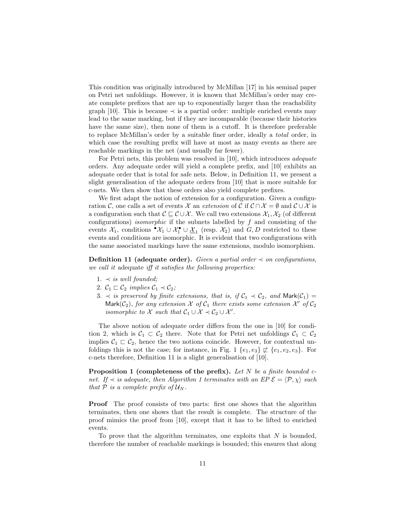This condition was originally introduced by McMillan [17] in his seminal paper on Petri net unfoldings. However, it is known that McMillan's order may create complete prefixes that are up to exponentially larger than the reachability graph [10]. This is because  $\prec$  is a partial order: multiple enriched events may lead to the same marking, but if they are incomparable (because their histories have the same size), then none of them is a cutoff. It is therefore preferable to replace McMillan's order by a suitable finer order, ideally a total order, in which case the resulting prefix will have at most as many events as there are reachable markings in the net (and usually far fewer).

For Petri nets, this problem was resolved in [10], which introduces *adequate* orders. Any adequate order will yield a complete prefix, and [10] exhibits an adequate order that is total for safe nets. Below, in Definition 11, we present a slight generalisation of the adequate orders from [10] that is more suitable for c-nets. We then show that these orders also yield complete prefixes.

We first adapt the notion of extension for a configuration. Given a configuration C, one calls a set of events X an extension of C if  $\mathcal{C} \cap \mathcal{X} = \emptyset$  and  $\mathcal{C} \cup \mathcal{X}$  is a configuration such that  $\mathcal{C} \subseteq \mathcal{C} \cup \mathcal{X}$ . We call two extensions  $\mathcal{X}_1, \mathcal{X}_2$  (of different configurations) *isomorphic* if the subnets labelled by  $f$  and consisting of the events  $\mathcal{X}_1$ , conditions  $\cdot \mathcal{X}_1 \cup \mathcal{X}_1 \cup \underline{\mathcal{X}}_1$  (resp.  $\mathcal{X}_2$ ) and  $G, D$  restricted to these events and conditions are isomorphic. It is evident that two configurations with the same associated markings have the same extensions, modulo isomorphism.

Definition 11 (adequate order). Given a partial order  $\prec$  on configurations, we call it adequate iff it satisfies the following properties:

- 1.  $\prec$  is well founded;
- 2.  $C_1 \sqsubset C_2$  implies  $C_1 \prec C_2$ ;
- 3.  $\prec$  is preserved by finite extensions, that is, if  $C_1 \prec C_2$ , and Mark $(C_1)$  = Mark( $C_2$ ), for any extension  $X$  of  $C_1$  there exists some extension  $X'$  of  $C_2$ isomorphic to  $\mathcal X$  such that  $\mathcal C_1 \cup \mathcal X \prec \mathcal C_2 \cup \mathcal X'$ .

The above notion of adequate order differs from the one in [10] for condition 2, which is  $C_1 \subset C_2$  there. Note that for Petri net unfoldings  $C_1 \subset C_2$ implies  $C_1 \subset C_2$ , hence the two notions coincide. However, for contextual unfoldings this is not the case; for instance, in Fig. 1  $\{e_1, e_3\} \not\sqsubset \{e_1, e_2, e_3\}$ . For c-nets therefore, Definition 11 is a slight generalisation of [10].

**Proposition 1 (completeness of the prefix).** Let  $N$  be a finite bounded cnet. If  $\prec$  is adequate, then Algorithm 1 terminates with an EP  $\mathcal{E} = \langle \mathcal{P}, \chi \rangle$  such that  $P$  is a complete prefix of  $\mathcal{U}_N$ .

Proof The proof consists of two parts: first one shows that the algorithm terminates, then one shows that the result is complete. The structure of the proof mimics the proof from [10], except that it has to be lifted to enriched events.

To prove that the algorithm terminates, one exploits that  $N$  is bounded, therefore the number of reachable markings is bounded; this ensures that along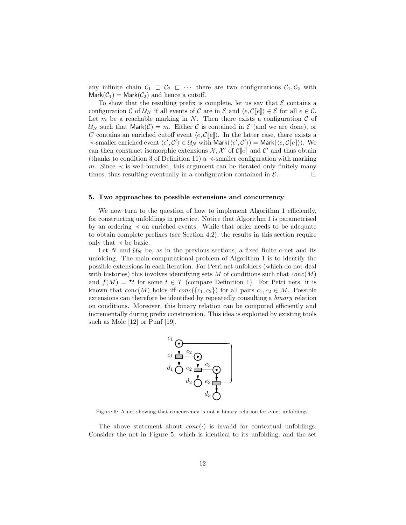any infinite chain  $C_1 \subset C_2 \subset \cdots$  there are two configurations  $C_1, C_2$  with  $Mark(\mathcal{C}_1) = Mark(\mathcal{C}_2)$  and hence a cutoff.

To show that the resulting prefix is complete, let us say that  $\mathcal E$  contains a configuration C of  $U_N$  if all events of C are in E and  $\langle e, C\llbracket e \rrbracket \rangle \in \mathcal{E}$  for all  $e \in \mathcal{C}$ . Let  $m$  be a reachable marking in  $N$ . Then there exists a configuration  $C$  of  $U_N$  such that Mark $(\mathcal{C}) = m$ . Either C is contained in E (and we are done), or C contains an enriched cutoff event  $\langle e, \mathcal{C}[\![e]\!] \rangle$ . In the latter case, there exists a ≺-smaller enriched event  $\langle e', C' \rangle \in \mathcal{U}_N$  with Mark $(\langle e', C' \rangle) =$  Mark $(\langle e, \mathcal{C}[[e]] \rangle)$ . We can then construct isomorphic extensions  $\mathcal{X}, \mathcal{X}'$  of  $\mathcal{C}[\![e]\!]$  and  $\mathcal{C}'$  and thus obtain (thanks to condition 3 of Definition 11) a  $\prec$ -smaller configuration with marking m. Since  $\prec$  is well-founded, this argument can be iterated only finitely many times, thus resulting eventually in a configuration contained in  $\mathcal{E}$ .

#### 5. Two approaches to possible extensions and concurrency

We now turn to the question of how to implement Algorithm 1 efficiently, for constructing unfoldings in practice. Notice that Algorithm 1 is parametrised by an ordering ≺ on enriched events. While that order needs to be adequate to obtain complete prefixes (see Section 4.2), the results in this section require only that  $\prec$  be basic.

Let  $N$  and  $U_N$  be, as in the previous sections, a fixed finite c-net and its unfolding. The main computational problem of Algorithm 1 is to identify the possible extensions in each iteration. For Petri net unfolders (which do not deal with histories) this involves identifying sets M of conditions such that  $conc(M)$ and  $f(M) = \cdot t$  for some  $t \in T$  (compare Definition 1). For Petri nets, it is known that  $conc(M)$  holds iff  $conc({c_1, c_2})$  for all pairs  $c_1, c_2 \in M$ . Possible extensions can therefore be identified by repeatedly consulting a binary relation on conditions. Moreover, this binary relation can be computed efficiently and incrementally during prefix construction. This idea is exploited by existing tools such as Mole [12] or Punf [19].



Figure 5: A net showing that concurrency is not a binary relation for c-net unfoldings.

The above statement about  $conc(\cdot)$  is invalid for contextual unfoldings. Consider the net in Figure 5, which is identical to its unfolding, and the set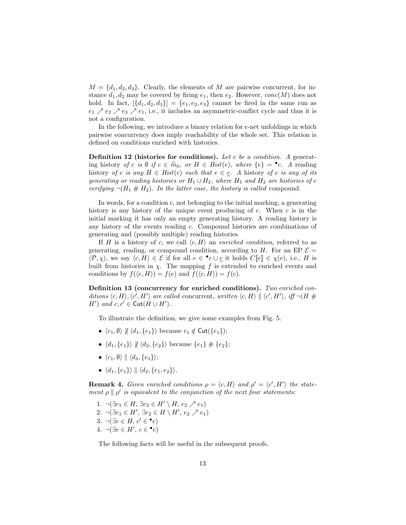$M = \{d_1, d_2, d_3\}.$  Clearly, the elements of M are pairwise concurrent, for instance  $d_1, d_2$  may be covered by firing  $e_1$ , then  $e_2$ . However,  $conc(M)$  does not hold. In fact,  $[\{d_1, d_2, d_3\}] = \{e_1, e_2, e_3\}$  cannot be fired in the same run as  $e_1 \nearrow e_2 \nearrow e_3 \nearrow e_1$ , i.e., it includes an asymmetric-conflict cycle and thus it is not a configuration.

In the following, we introduce a binary relation for c-net unfoldings in which pairwise concurrency does imply reachability of the whole set. This relation is defined on conditions enriched with histories.

**Definition 12** (histories for conditions). Let c be a condition. A generating history of c is Ø if  $c \in \widehat{m}_0$ , or  $H \in Hist(e)$ , where  $\{e\} = \bullet c$ . A reading<br>bistory of c is any  $H \subseteq Hist(e)$  such that  $e \subseteq c$ , A bistory of c is any of its history of c is any  $H \in Hist(e)$  such that  $e \in \underline{c}$ . A history of c is any of its generating or reading histories or  $H_1 \cup H_2$ , where  $H_1$  and  $H_2$  are histories of c verifying  $\neg(H_1 \# H_2)$ . In the latter case, the history is called compound.

In words, for a condition c, not belonging to the initial marking, a generating history is any history of the unique event producing of  $c$ . When  $c$  is in the initial marking it has only an empty generating history. A reading history is any history of the events reading c. Compound histories are combinations of generating and (possibly multiple) reading histories.

If H is a history of c, we call  $\langle c, H \rangle$  an enriched condition, referred to as generating, reading, or compound condition, according to H. For an EP  $\mathcal{E} =$  $\langle \mathcal{P}, \chi \rangle$ , we say  $\langle c, H \rangle \in \mathcal{E}$  if for all  $e \in \{c \cup \underline{c} \text{ it holds } C[\![e]\!] \in \chi(e), \text{ i.e., } H \text{ is }$ built from histories in  $\chi$ . The mapping f is extended to enriched events and conditions by  $f(\langle e, H \rangle) = f(e)$  and  $f(\langle c, H \rangle) = f(c)$ .

Definition 13 (concurrency for enriched conditions). Two enriched conditions  $\langle c, H \rangle$ ,  $\langle c', H' \rangle$  are called concurrent, written  $\langle c, H \rangle \parallel \langle c', H' \rangle$ , iff  $\neg(H \#$  $H'$ ) and  $c, c' \in \text{Cut}(H \cup H')$ .

To illustrate the definition, we give some examples from Fig. 5.

- $\langle c_1, \emptyset \rangle \nparallel \langle d_1, \{e_1\} \rangle$  because  $c_1 \notin \text{Cut}(\{e_1\});$
- $\langle d_1, \{e_1\}\rangle \nparallel \langle d_2, \{e_2\}\rangle$  because  $\{e_1\} \nparallel \{e_2\};$
- $\langle c_1, \emptyset \rangle \parallel \langle d_3, \{e_3\} \rangle;$
- $\langle d_1, \{e_1\}\rangle \parallel \langle d_2, \{e_1, e_2\}\rangle.$

**Remark 4.** Given enriched conditions  $\rho = \langle c, H \rangle$  and  $\rho' = \langle c', H' \rangle$  the statement  $\rho \parallel \rho'$  is equivalent to the conjunction of the next four statements:

1.  $\neg(\exists e_1 \in H, \exists e_2 \in H' \setminus H, e_2 \nearrow e_1)$ 2.  $\neg(\exists e_1 \in H', \exists e_2 \in H \setminus H', e_2 \nearrow e_1)$ 3.  $\neg(\exists e \in H, c' \in \bullet e)$ 4.  $\neg(\exists e \in H', c \in \bullet e)$ 

The following facts will be useful in the subsequent proofs.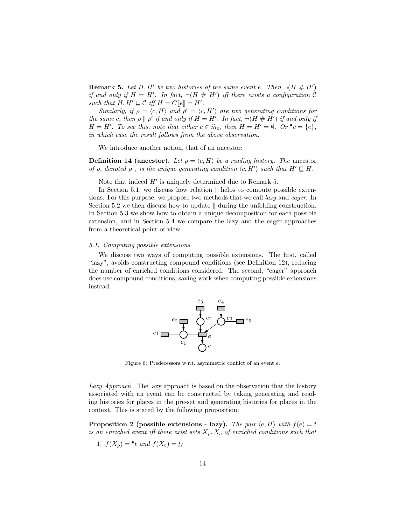**Remark 5.** Let H, H' be two histories of the same event e. Then  $\neg(H \# H')$ if and only if  $H = H'$ . In fact,  $\neg(H \# H')$  iff there exists a configuration C such that  $H, H' \sqsubseteq \mathcal{C}$  iff  $H = C[[e]] = H'.$ 

Similarly, if  $\rho = \langle c, H \rangle$  and  $\rho' = \langle c, H' \rangle$  are two generating conditions for the same c, then  $\rho \parallel \rho'$  if and only if  $H = H'$ . In fact,  $\neg (H \# H')$  if and only if  $H = H'$ . To see this, note that either  $c \in \hat{m}_0$ , then  $H = H' = \emptyset$ . Or  $\bullet c = \{e\}$ , in which gase the gasel<sup>t</sup> follows from the ghove observation in which case the result follows from the above observation.

We introduce another notion, that of an ancestor:

**Definition 14 (ancestor).** Let  $\rho = \langle c, H \rangle$  be a reading history. The ancestor of  $\rho$ , denoted  $\rho^{\uparrow}$ , is the unique generating condition  $\langle c, H' \rangle$  such that  $H' \sqsubseteq H$ .

Note that indeed  $H'$  is uniquely determined due to Remark 5.

In Section 5.1, we discuss how relation  $\parallel$  helps to compute possible extensions. For this purpose, we propose two methods that we call *lazy* and *eager*. In Section 5.2 we then discuss how to update  $\parallel$  during the unfolding construction. In Section 5.3 we show how to obtain a unique decomposition for each possible extension, and in Section 5.4 we compare the lazy and the eager approaches from a theoretical point of view.

## 5.1. Computing possible extensions

We discuss two ways of computing possible extensions. The first, called "lazy", avoids constructing compound conditions (see Definition 12), reducing the number of enriched conditions considered. The second, "eager" approach does use compound conditions, saving work when computing possible extensions instead.



Figure 6: Predecessors w.r.t. asymmetric conflict of an event e.

Lazy Approach. The lazy approach is based on the observation that the history associated with an event can be constructed by taking generating and reading histories for places in the pre-set and generating histories for places in the context. This is stated by the following proposition:

**Proposition 2** (possible extensions - lazy). The pair  $\langle e, H \rangle$  with  $f(e) = t$ is an enriched event iff there exist sets  $X_p, X_c$  of enriched conditions such that

1. 
$$
f(X_p) = \bullet t
$$
 and  $f(X_c) = \underline{t}$ ;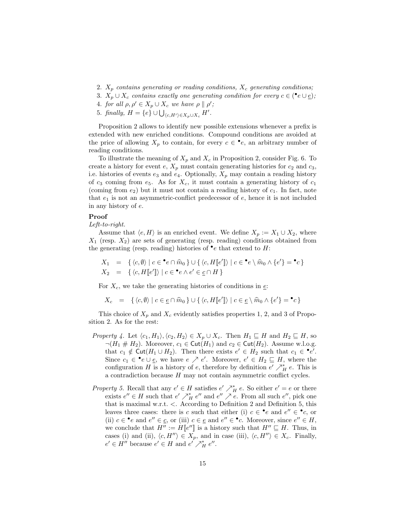- 2.  $X_p$  contains generating or reading conditions,  $X_c$  generating conditions;
- 3.  $X_p \cup X_c$  contains exactly one generating condition for every  $c \in (\bullet e \cup \underline{e});$
- 4. for all  $\rho, \rho' \in X_p \cup X_c$  we have  $\rho \parallel \rho'$ ;
- 5. finally,  $H = \{e\} \cup \bigcup_{\langle c, H' \rangle \in X_p \cup X_c} H'.$

Proposition 2 allows to identify new possible extensions whenever a prefix is extended with new enriched conditions. Compound conditions are avoided at the price of allowing  $X_p$  to contain, for every  $c \in \bullet e$ , an arbitrary number of reading conditions.

To illustrate the meaning of  $X_p$  and  $X_c$  in Proposition 2, consider Fig. 6. To create a history for event e,  $X_p$  must contain generating histories for  $c_2$  and  $c_3$ , i.e. histories of events  $e_3$  and  $e_4$ . Optionally,  $X_p$  may contain a reading history of  $c_3$  coming from  $e_5$ . As for  $X_c$ , it must contain a generating history of  $c_1$ (coming from  $e_2$ ) but it must not contain a reading history of  $c_1$ . In fact, note that  $e_1$  is not an asymmetric-conflict predecessor of  $e$ , hence it is not included in any history of e.

### Proof

Left-to-right.

Assume that  $\langle e, H \rangle$  is an enriched event. We define  $X_p := X_1 \cup X_2$ , where  $X_1$  (resp.  $X_2$ ) are sets of generating (resp. reading) conditions obtained from the generating (resp. reading) histories of  $\bullet$ e that extend to H:

$$
X_1 = \{ \langle c, \emptyset \rangle \mid c \in \mathbf{e} \cap \hat{m}_0 \} \cup \{ \langle c, H[\![e']\!] \rangle \mid c \in \mathbf{e} \setminus \hat{m}_0 \land \{e'\} = \mathbf{e} \} X_2 = \{ \langle c, H[\![e']\!] \rangle \mid c \in \mathbf{e} \land e' \in \underline{c} \cap H \}
$$

For  $X_c$ , we take the generating histories of conditions in  $\epsilon$ .

$$
X_c = \{ \langle c, \emptyset \rangle \mid c \in \underline{e} \cap \widehat{m}_0 \} \cup \{ \langle c, H[\![e']\!] \rangle \mid c \in \underline{e} \setminus \widehat{m}_0 \wedge \{e'\} = \bullet c \}
$$

This choice of  $X_p$  and  $X_c$  evidently satisfies properties 1, 2, and 3 of Proposition 2. As for the rest:

- *Property 4.* Let  $\langle c_1, H_1 \rangle, \langle c_2, H_2 \rangle \in X_p \cup X_c$ . Then  $H_1 \sqsubseteq H$  and  $H_2 \sqsubseteq H$ , so  $\neg(H_1 \# H_2)$ . Moreover,  $c_1 \in \text{Cut}(H_1)$  and  $c_2 \in \text{Cut}(H_2)$ . Assume w.l.o.g. that  $c_1 \notin \text{Cut}(H_1 \cup H_2)$ . Then there exists  $e' \in H_2$  such that  $c_1 \in \text{P}e'.$ Since  $c_1 \in \bullet e \cup \underline{e}$ , we have  $e \nearrow e'$ . Moreover,  $e' \in H_2 \sqsubseteq H$ , where the configuration H is a history of e, therefore by definition  $e' \nearrow_H^* e$ . This is a contradiction because  $H$  may not contain asymmetric conflict cycles.
- Property 5. Recall that any  $e' \in H$  satisfies  $e' \nearrow_H^* e$ . So either  $e' = e$  or there exists  $e'' \in H$  such that  $e' \nearrow_H^* e''$  and  $e'' \nearrow e$ . From all such  $e''$ , pick one that is maximal w.r.t.  $\lt$ . According to Definition 2 and Definition 5, this leaves three cases: there is c such that either (i)  $c \in \cdot e$  and  $e'' \in \cdot c$ , or (ii)  $c \in \bullet e$  and  $e'' \in \underline{c}$ , or (iii)  $c \in \underline{e}$  and  $e'' \in \bullet c$ . Moreover, since  $e'' \in H$ , we conclude that  $H'' := H[[e'']]$  is a history such that  $H'' \subseteq H$ . Thus, in cases (i) and (ii),  $\langle c, H'' \rangle \in X_p$ , and in case (iii),  $\langle c, H'' \rangle \in X_c$ . Finally,  $e' \in H''$  because  $e' \in H$  and  $e' \nearrow_H^* e''$ .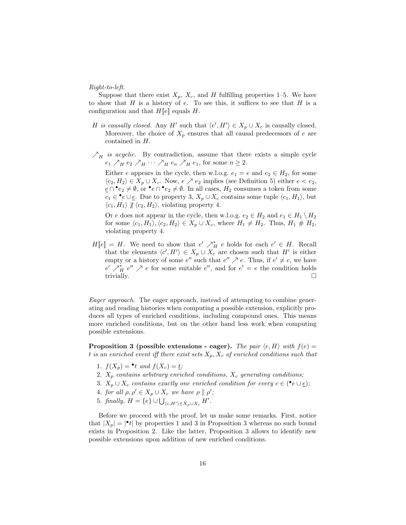Right-to-left.

Suppose that there exist  $X_p$ ,  $X_c$ , and H fulfilling properties 1–5. We have to show that  $H$  is a history of  $e$ . To see this, it suffices to see that  $H$  is a configuration and that  $H\llbracket e \rrbracket$  equals H.

- H is causally closed. Any H' such that  $\langle e', H' \rangle \in X_p \cup X_c$  is causally closed. Moreover, the choice of  $X_p$  ensures that all causal predecessors of e are contained in H.
- $\mathcal{N}_H$  is acyclic. By contradiction, assume that there exists a simple cycle  $e_1 \nearrow_H e_2 \nearrow_H \cdots \nearrow_H e_n \nearrow_H e_1$ , for some  $n \geq 2$ .

Either e appears in the cycle, then w.l.o.g.  $e_1 = e$  and  $e_2 \in H_2$ , for some  $\langle c_2, H_2 \rangle \in X_p \cup X_c$ . Now,  $e \nearrow e_2$  implies (see Definition 5) either  $e < e_2$ ,  $e \cap \bullet e_2 \neq \emptyset$ , or  $\bullet e \cap \bullet e_2 \neq \emptyset$ . In all cases,  $H_2$  consumes a token from some  $c_1 \in \cdot^{\bullet}e \cup \underline{e}$ . Due to property 3,  $X_p \cup X_c$  contains some tuple  $\langle c_1, H_1 \rangle$ , but  $\langle c_1, H_1 \rangle \nparallel \langle c_2, H_2 \rangle$ , violating property 4.

Or e does not appear in the cycle, then w.l.o.g.  $e_2 \in H_2$  and  $e_1 \in H_1 \setminus H_2$ for some  $\langle c_1, H_1 \rangle, \langle c_2, H_2 \rangle \in X_p \cup X_c$ , where  $H_1 \neq H_2$ . Thus,  $H_1 \# H_2$ , violating property 4.

 $H[\![e]\!] = H$ . We need to show that  $e' \nearrow_H^* e$  holds for each  $e' \in H$ . Recall that the elements  $\langle c', H' \rangle \in X_p \cup X_c$  are chosen such that H' is either empty or a history of some  $e''$  such that  $e'' \nearrow e$ . Thus, if  $e' \neq e$ , we have  $e' \nearrow_H^* e'' \nearrow e$  for some suitable  $e''$ , and for  $e' = e$  the condition holds trivially.  $\Box$ 

Eager approach. The eager approach, instead of attempting to combine generating and reading histories when computing a possible extension, explicitly produces all types of enriched conditions, including compound ones. This means more enriched conditions, but on the other hand less work when computing possible extensions.

**Proposition 3 (possible extensions - eager).** The pair  $\langle e, H \rangle$  with  $f(e) =$ t is an enriched event iff there exist sets  $X_p, X_c$  of enriched conditions such that

- 1.  $f(X_p) = \bullet t$  and  $f(X_c) = \underline{t}$ ;
- 2.  $X_p$  contains arbitrary enriched conditions,  $X_c$  generating conditions;
- 3.  $X_p \cup X_c$  contains exactly one enriched condition for every  $c \in (\bullet e \cup \underline{e});$
- 4. for all  $\rho, \rho' \in X_p \cup X_c$  we have  $\rho \parallel \rho'$ ;
- 5. finally,  $H = \{e\} \cup \bigcup_{\langle c, H' \rangle \in X_p \cup X_c} H'.$

Before we proceed with the proof, let us make some remarks. First, notice that  $|X_p| = |\cdot t|$  by properties 1 and 3 in Proposition 3 whereas no such bound exists in Proposition 2. Like the latter, Proposition 3 allows to identify new possible extensions upon addition of new enriched conditions.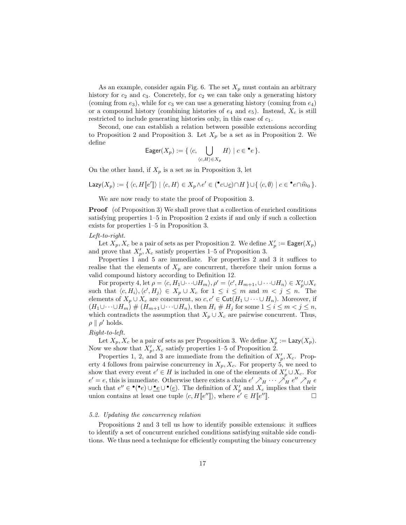As an example, consider again Fig. 6. The set  $X_p$  must contain an arbitrary history for  $c_2$  and  $c_3$ . Concretely, for  $c_2$  we can take only a generating history (coming from  $e_3$ ), while for  $c_3$  we can use a generating history (coming from  $e_4$ ) or a compound history (combining histories of  $e_4$  and  $e_5$ ). Instead,  $X_c$  is still restricted to include generating histories only, in this case of  $c_1$ .

Second, one can establish a relation between possible extensions according to Proposition 2 and Proposition 3. Let  $X_p$  be a set as in Proposition 2. We define

Eager
$$
(X_p) := \{ \langle c, \bigcup_{\langle c, H \rangle \in X_p} H \rangle \mid c \in \bullet e \}.
$$

On the other hand, if  $X_p$  is a set as in Proposition 3, let

$$
\mathsf{Lazy}(X_p) := \{ \langle c, H \llbracket e' \rrbracket \rangle \mid \langle c, H \rangle \in X_p \land e' \in (\mathbf{C} \cup \underline{c}) \cap H \} \cup \{ \langle c, \emptyset \rangle \mid c \in \mathbf{C} \cap \widehat{m}_0 \}.
$$

We are now ready to state the proof of Proposition 3.

Proof (of Proposition 3) We shall prove that a collection of enriched conditions satisfying properties 1–5 in Proposition 2 exists if and only if such a collection exists for properties 1–5 in Proposition 3.

#### Left-to-right.

Let  $X_p, X_c$  be a pair of sets as per Proposition 2. We define  $X_p' := \mathsf{Eager}(X_p)$ and prove that  $X'_p$ ,  $X_c$  satisfy properties 1–5 of Proposition 3.

Properties 1 and 5 are immediate. For properties 2 and 3 it suffices to realise that the elements of  $X_p$  are concurrent, therefore their union forms a valid compound history according to Definition 12.

For property 4, let  $\rho = \langle c, H_1 \cup \cdots \cup H_m \rangle, \rho' = \langle c', H_{m+1}, \cup \cdots \cup H_n \rangle \in X'_{p} \cup X_{c}$ such that  $\langle c, H_i \rangle, \langle c', H_j \rangle \in X_p \cup X_c$  for  $1 \leq i \leq m$  and  $m < j \leq n$ . The elements of  $X_p \cup X_c$  are concurrent, so  $c, c' \in \text{Cut}(H_1 \cup \cdots \cup H_n)$ . Moreover, if  $(H_1\cup\cdots\cup H_m)\# (H_{m+1}\cup\cdots\cup H_n)$ , then  $H_i\# H_j$  for some  $1\leq i\leq m < j\leq n$ , which contradicts the assumption that  $X_p \cup X_c$  are pairwise concurrent. Thus,  $\rho \parallel \rho'$  holds.

## Right-to-left.

Let  $X_p, X_c$  be a pair of sets as per Proposition 3. We define  $X'_p := \text{Lazy}(X_p)$ . Now we show that  $X'_p, X_c$  satisfy properties 1–5 of Proposition 2.

Properties 1, 2, and 3 are immediate from the definition of  $X_p', X_c$ . Property 4 follows from pairwise concurrency in  $X_p, X_c$ . For property 5, we need to show that every event  $e' \in H$  is included in one of the elements of  $X'_{p} \cup X_{c}$ . For  $e' = e$ , this is immediate. Otherwise there exists a chain  $e' \nearrow_H \cdots \nearrow_H e'' \nearrow_H e$ such that  $e'' \in \bullet(\bullet e) \cup \bullet e \cup \bullet(\bullet)$ . The definition of  $X'_{p}$  and  $X_{c}$  implies that their union contains at least one tuple  $\langle c, H[[e'']]\rangle$ , where  $e' \in H[[e']']$  $\mathbb{Z}$ ].

## 5.2. Updating the concurrency relation

Propositions 2 and 3 tell us how to identify possible extensions: it suffices to identify a set of concurrent enriched conditions satisfying suitable side conditions. We thus need a technique for efficiently computing the binary concurrency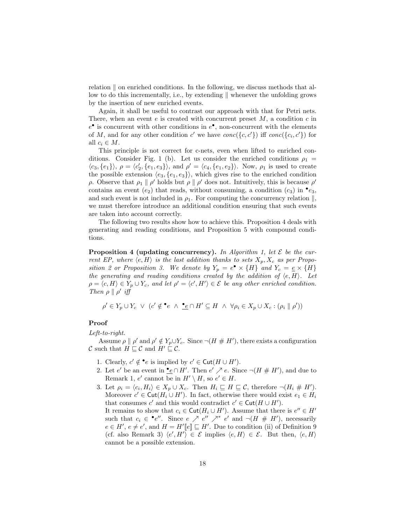relation  $\parallel$  on enriched conditions. In the following, we discuss methods that allow to do this incrementally, i.e., by extending  $\parallel$  whenever the unfolding grows by the insertion of new enriched events.

Again, it shall be useful to contrast our approach with that for Petri nets. There, when an event  $e$  is created with concurrent preset  $M$ , a condition  $c$  in  $e^{\bullet}$  is concurrent with other conditions in  $e^{\bullet}$ , non-concurrent with the elements of M, and for any other condition c' we have  $conc({c, c'})$  iff  $conc({c, c'})$  for all  $c_i \in M$ .

This principle is not correct for c-nets, even when lifted to enriched conditions. Consider Fig. 1 (b). Let us consider the enriched conditions  $\rho_1 =$  $\langle c_3, \{e_1\} \rangle$ ,  $\rho = \langle c_2', \{e_1, e_3\} \rangle$ , and  $\rho' = \langle c_4, \{e_1, e_2\} \rangle$ . Now,  $\rho_1$  is used to create the possible extension  $\langle e_3, \{e_1, e_3\} \rangle$ , which gives rise to the enriched condition ρ. Observe that  $\rho_1 \parallel \rho'$  holds but  $\rho \parallel \rho'$  does not. Intuitively, this is because  $\rho'$ contains an event  $(e_2)$  that reads, without consuming, a condition  $(c_3)$  in  $\bullet e_3$ , and such event is not included in  $\rho_1$ . For computing the concurrency relation  $\parallel$ , we must therefore introduce an additional condition ensuring that such events are taken into account correctly.

The following two results show how to achieve this. Proposition 4 deals with generating and reading conditions, and Proposition 5 with compound conditions.

**Proposition 4 (updating concurrency).** In Algorithm 1, let  $\mathcal{E}$  be the current EP, where  $\langle e, H \rangle$  is the last addition thanks to sets  $X_p, X_c$  as per Proposition 2 or Proposition 3. We denote by  $Y_p = e^{\bullet} \times \{H\}$  and  $Y_c = \underline{e} \times \{H\}$ the generating and reading conditions created by the addition of  $\langle e, H \rangle$ . Let  $\rho = \langle c, H \rangle \in Y_p \cup Y_c$ , and let  $\rho' = \langle c', H' \rangle \in \mathcal{E}$  be any other enriched condition. Then  $\rho \parallel \rho'$  iff

$$
\rho' \in Y_p \cup Y_c \ \lor \ (c' \notin \bullet e \ \land \ \bullet e \cap H' \subseteq H \ \land \ \forall \rho_i \in X_p \cup X_c : (\rho_i \parallel \rho'))
$$

# Proof

Left-to-right.

Assume  $\rho \parallel \rho'$  and  $\rho' \notin Y_p \cup Y_c$ . Since  $\neg(H \# H')$ , there exists a configuration C such that  $H \sqsubseteq \mathcal{C}$  and  $H' \sqsubseteq \mathcal{C}$ .

- 1. Clearly,  $c' \notin \bullet e$  is implied by  $c' \in \text{Cut}(H \cup H')$ .
- 2. Let e' be an event in  $\underline{\bullet} \in \cap H'$ . Then  $e' \nearrow e$ . Since  $\neg(H \# H')$ , and due to Remark 1, e' cannot be in  $H' \setminus H$ , so  $e' \in H$ .
- 3. Let  $\rho_i = \langle c_i, H_i \rangle \in X_p \cup X_c$ . Then  $H_i \sqsubseteq H \sqsubseteq \mathcal{C}$ , therefore  $\neg(H_i \# H')$ . Moreover  $c' \in \text{Cut}(H_i \cup H')$ . In fact, otherwise there would exist  $e_1 \in H_i$ that consumes c' and this would contradict  $c' \in \text{Cut}(H \cup H')$ . It remains to show that  $c_i \in \text{Cut}(H_i \cup H')$ . Assume that there is  $e'' \in H'$ such that  $c_i \in \bullet e''$ . Since  $e \nearrow e'' \nearrow e'$  and  $\neg(H \# H')$ , necessarily  $e \in H'$ ,  $e \neq e'$ , and  $H = H'[[e]] \sqsubseteq H'$ . Due to condition (ii) of Definition 9 (cf. also Remark 3)  $\langle e', H' \rangle \in \mathcal{E}$  implies  $\langle e, H \rangle \in \mathcal{E}$ . But then,  $\langle e, H \rangle$ cannot be a possible extension.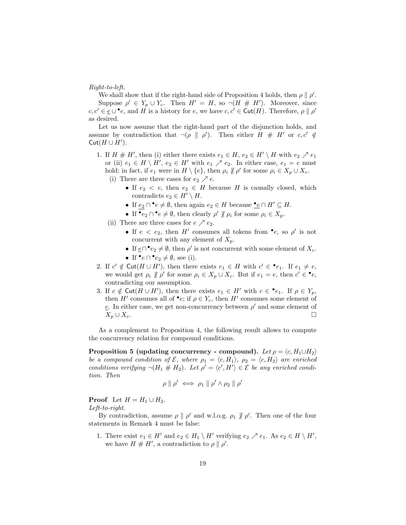Right-to-left.

We shall show that if the right-hand side of Proposition 4 holds, then  $\rho \parallel \rho'$ . Suppose  $\rho' \in Y_p \cup Y_c$ . Then  $H' = H$ , so  $\neg(H \# H')$ . Moreover, since  $c, c' \in \underline{e} \cup \bullet e$ , and H is a history for e, we have  $c, c' \in \text{Cut}(H)$ . Therefore,  $\rho \parallel \rho'$ as desired.

Let us now assume that the right-hand part of the disjunction holds, and assume by contradiction that  $\neg(\rho \parallel \rho')$ . Then either  $H \# H'$  or  $c, c' \notin$  $Cut(H \cup H')$ .

- 1. If  $H \# H'$ , then (i) either there exists  $e_1 \in H$ ,  $e_2 \in H' \setminus H$  with  $e_2 \nearrow e_1$ or (ii)  $e_1 \in H \setminus H'$ ,  $e_2 \in H'$  with  $e_1 \nearrow e_2$ . In either case,  $e_1 = e$  must hold; in fact, if  $e_1$  were in  $H \setminus \{e\}$ , then  $\rho_i \not\parallel \rho'$  for some  $\rho_i \in X_p \cup X_c$ .
	- (i) There are three cases for  $e_2 \nearrow e$ .
		- If  $e_2 < e$ , then  $e_2 \in H$  because H is causally closed, which contradicts  $e_2 \in H' \setminus H$ .
		- If  $e_2 \cap e \neq \emptyset$ , then again  $e_2 \in H$  because  $\mathcal{L}_e \cap H' \subseteq H$ .
		- If  $\bullet e_2 \cap \bullet e \neq \emptyset$ , then clearly  $\rho' \nparallel \rho_i$  for some  $\rho_i \in X_p$ .
	- (ii) There are three cases for  $e \nearrow e_2$ .
		- If  $e < e_2$ , then H' consumes all tokens from •e, so  $\rho'$  is not concurrent with any element of  $X_p$ .
		- If  $\underline{e} \cap \cdot e_2 \neq \emptyset$ , then  $\rho'$  is not concurrent with some element of  $X_c$ .
		- If  $\bullet e \cap \bullet e_2 \neq \emptyset$ , see (i).
- 2. If  $c' \notin \text{Cut}(H \cup H')$ , then there exists  $e_1 \in H$  with  $c' \in \bullet e_1$ . If  $e_1 \neq e$ , we would get  $\rho_i \nparallel \rho'$  for some  $\rho_i \in X_p \cup X_c$ . But if  $e_1 = e$ , then  $c' \in \bullet e$ , contradicting our assumption.
- 3. If  $c \notin \text{Cut}(H \cup H')$ , then there exists  $e_1 \in H'$  with  $c \in \bullet e_1$ . If  $\rho \in Y_p$ , then  $H'$  consumes all of  $\bullet e$ ; if  $\rho \in Y_c$ , then  $H'$  consumes some element of  $e$ . In either case, we get non-concurrency between  $\rho'$  and some element of  $X_p \cup X_c$ .

As a complement to Proposition 4, the following result allows to compute the concurrency relation for compound conditions.

**Proposition 5 (updating concurrency - compound).** Let  $\rho = \langle c, H_1 \cup H_2 \rangle$ be a compound condition of  $\mathcal{E}$ , where  $\rho_1 = \langle c, H_1 \rangle$ ,  $\rho_2 = \langle c, H_2 \rangle$  are enriched conditions verifying  $\neg(H_1 \# H_2)$ . Let  $\rho' = \langle c', H' \rangle \in \mathcal{E}$  be any enriched condition. Then

$$
\rho \parallel \rho' \iff \rho_1 \parallel \rho' \land \rho_2 \parallel \rho'
$$

**Proof** Let  $H = H_1 \cup H_2$ .

Left-to-right.

By contradiction, assume  $\rho \parallel \rho'$  and w.l.o.g.  $\rho_1 \parallel \rho'$ . Then one of the four statements in Remark 4 must be false:

1. There exist  $e_1 \in H'$  and  $e_2 \in H_1 \setminus H'$  verifying  $e_2 \nearrow e_1$ . As  $e_2 \in H \setminus H'$ , we have  $H \# H'$ , a contradiction to  $\rho \parallel \rho'$ .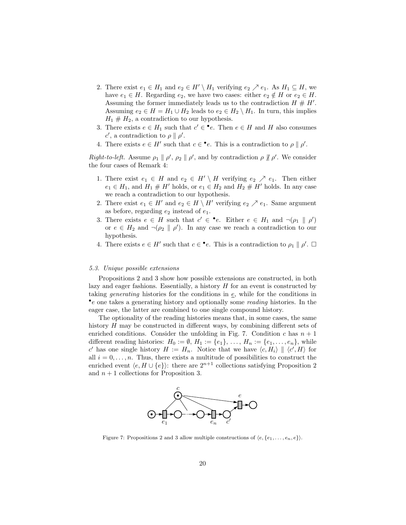- 2. There exist  $e_1 \in H_1$  and  $e_2 \in H' \setminus H_1$  verifying  $e_2 \nearrow e_1$ . As  $H_1 \subseteq H$ , we have  $e_1 \in H$ . Regarding  $e_2$ , we have two cases: either  $e_2 \notin H$  or  $e_2 \in H$ . Assuming the former immediately leads us to the contradiction  $H \# H'$ . Assuming  $e_2 \in H = H_1 \cup H_2$  leads to  $e_2 \in H_2 \setminus H_1$ . In turn, this implies  $H_1 \# H_2$ , a contradiction to our hypothesis.
- 3. There exists  $e \in H_1$  such that  $c' \in \bullet e$ . Then  $e \in H$  and H also consumes c', a contradiction to  $\rho \parallel \rho'$ .
- 4. There exists  $e \in H'$  such that  $c \in \bullet e$ . This is a contradiction to  $\rho \parallel \rho'$ .

Right-to-left. Assume  $\rho_1 \parallel \rho', \rho_2 \parallel \rho',$  and by contradiction  $\rho \parallel \rho'$ . We consider the four cases of Remark 4:

- 1. There exist  $e_1 \in H$  and  $e_2 \in H' \setminus H$  verifying  $e_2 \nearrow e_1$ . Then either  $e_1 \in H_1$ , and  $H_1 \# H'$  holds, or  $e_1 \in H_2$  and  $H_2 \# H'$  holds. In any case we reach a contradiction to our hypothesis.
- 2. There exist  $e_1 \in H'$  and  $e_2 \in H \setminus H'$  verifying  $e_2 \nearrow e_1$ . Same argument as before, regarding  $e_2$  instead of  $e_1$ .
- 3. There exists  $e \in H$  such that  $c' \in \bullet e$ . Either  $e \in H_1$  and  $\neg(\rho_1 \parallel \rho')$ or  $e \in H_2$  and  $\neg(\rho_2 \parallel \rho')$ . In any case we reach a contradiction to our hypothesis.
- 4. There exists  $e \in H'$  such that  $c \in \bullet e$ . This is a contradiction to  $\rho_1 \parallel \rho'$ .  $\Box$

#### 5.3. Unique possible extensions

Propositions 2 and 3 show how possible extensions are constructed, in both lazy and eager fashions. Essentially, a history H for an event is constructed by taking *generating* histories for the conditions in  $\epsilon$ , while for the conditions in • e one takes a generating history and optionally some reading histories. In the eager case, the latter are combined to one single compound history.

The optionality of the reading histories means that, in some cases, the same history H may be constructed in different ways, by combining different sets of enriched conditions. Consider the unfolding in Fig. 7. Condition c has  $n+1$ different reading histories:  $H_0 := \emptyset$ ,  $H_1 := \{e_1\}, \ldots, H_n := \{e_1, \ldots, e_n\}$ , while c' has one single history  $H := H_n$ . Notice that we have  $\langle c, H_i \rangle \parallel \langle c', H \rangle$  for all  $i = 0, \ldots, n$ . Thus, there exists a multitude of possibilities to construct the enriched event  $\langle e, H \cup \{e\} \rangle$ : there are  $2^{n+1}$  collections satisfying Proposition 2 and  $n+1$  collections for Proposition 3.



Figure 7: Propositions 2 and 3 allow multiple constructions of  $\langle e, \{e_1, \ldots, e_n, e\} \rangle$ .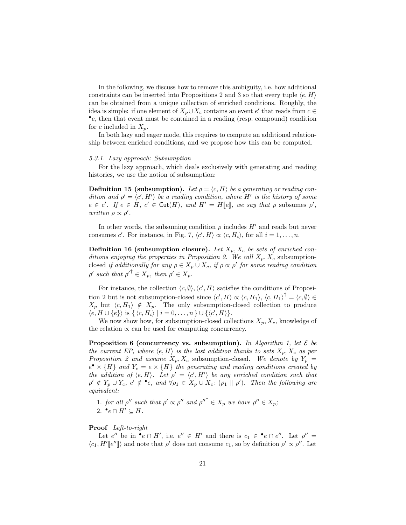In the following, we discuss how to remove this ambiguity, i.e. how additional constraints can be inserted into Propositions 2 and 3 so that every tuple  $\langle e, H \rangle$ can be obtained from a unique collection of enriched conditions. Roughly, the idea is simple: if one element of  $X_p \cup X_c$  contains an event  $e'$  that reads from  $c \in$ • e, then that event must be contained in a reading (resp. compound) condition for c included in  $X_p$ .

In both lazy and eager mode, this requires to compute an additional relationship between enriched conditions, and we propose how this can be computed.

#### 5.3.1. Lazy approach: Subsumption

For the lazy approach, which deals exclusively with generating and reading histories, we use the notion of subsumption:

**Definition 15 (subsumption).** Let  $\rho = \langle c, H \rangle$  be a generating or reading condition and  $\rho' = \langle c', H' \rangle$  be a reading condition, where H' is the history of some  $e \in \underline{c'}$ . If  $e \in H$ ,  $c' \in \text{Cut}(H)$ , and  $H' = H[[e]]$ , we say that  $\rho$  subsumes  $\rho'$ , written  $\rho \propto \rho'$ .

In other words, the subsuming condition  $\rho$  includes  $H'$  and reads but never consumes c'. For instance, in Fig. 7,  $\langle c', H \rangle \propto \langle c, H_i \rangle$ , for all  $i = 1, ..., n$ .

**Definition 16 (subsumption closure).** Let  $X_p$ ,  $X_c$  be sets of enriched conditions enjoying the properties in Proposition 2. We call  $X_p, X_c$  subsumptionclosed if additionally for any  $\rho \in X_p \cup X_c$ , if  $\rho \propto \rho'$  for some reading condition  $\rho'$  such that  $\rho'^{\uparrow} \in X_p$ , then  $\rho' \in X_p$ .

For instance, the collection  $\langle c, \emptyset \rangle$ ,  $\langle c', H \rangle$  satisfies the conditions of Proposition 2 but is not subsumption-closed since  $\langle c', H \rangle \propto \langle c, H_1 \rangle$ ,  $\langle c, H_1 \rangle^{\dagger} = \langle c, \emptyset \rangle \in$  $X_p$  but  $\langle c, H_1 \rangle \notin X_p$ . The only subsumption-closed collection to produce  $\langle e, H \cup \{e\} \rangle$  is  $\{ \langle c, H_i \rangle | i = 0, \ldots, n \} \cup \{ \langle c', H \rangle \}.$ 

We now show how, for subsumption-closed collections  $X_p, X_c$ , knowledge of the relation  $\propto$  can be used for computing concurrency.

**Proposition 6 (concurrency vs. subsumption).** In Algorithm 1, let  $\mathcal{E}$  be the current EP, where  $\langle e, H \rangle$  is the last addition thanks to sets  $X_p, X_c$  as per Proposition 2 and assume  $X_p, X_c$  subsumption-closed. We denote by  $Y_p =$  $e^{\bullet} \times \{H\}$  and  $Y_c = \underline{e} \times \{H\}$  the generating and reading conditions created by the addition of  $\langle e, H \rangle$ . Let  $\rho' = \langle c', H' \rangle$  be any enriched condition such that  $\rho' \notin Y_p \cup Y_c$ ,  $c' \notin \bullet e$ , and  $\forall \rho_1 \in X_p \cup X_c$ :  $(\rho_1 \parallel \rho')$ . Then the following are equivalent:

1. for all  $\rho''$  such that  $\rho' \propto \rho''$  and  ${\rho''}^{\dagger} \in X_p$  we have  $\rho'' \in X_p$ ; 2.  $\underline{\bullet} e \cap H' \subseteq H$ .

# Proof Left-to-right

Let  $e''$  be in <u>•</u> $e \cap H'$ , i.e.  $e'' \in H'$  and there is  $c_1 \in \bullet e \cap e''$ . Let  $\rho'' =$  $\langle c_1, H'[\ell''] \rangle$  and note that  $\rho'$  does not consume  $c_1$ , so by definition  $\rho' \propto \rho''$ . Let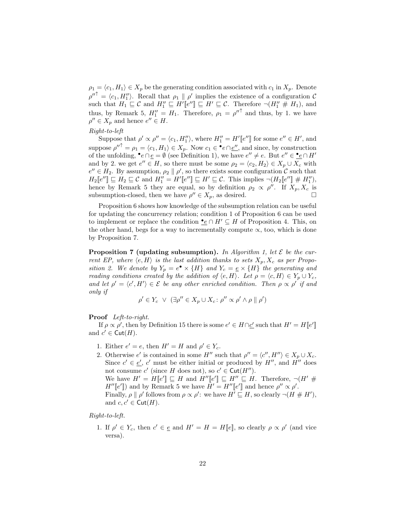$\rho_1 = \langle c_1, H_1 \rangle \in X_p$  be the generating condition associated with  $c_1$  in  $X_p$ . Denote  $\rho''^{\uparrow} = \langle c_1, H_1'' \rangle$ . Recall that  $\rho_1 \parallel \rho'$  implies the existence of a configuration C such that  $H_1 \subseteq \mathcal{C}$  and  $H''_1 \subseteq H'[e''] \subseteq H' \subseteq \mathcal{C}$ . Therefore  $\neg(H''_1 \# H_1)$ , and thus, by Remark 5,  $H_1'' = H_1$ . Therefore,  $\rho_1 = {\rho''}^{\uparrow}$  and thus, by 1. we have  $\rho'' \in X_p$  and hence  $e'' \in H$ .

# Right-to-left

Suppose that  $\rho' \propto \rho'' = \langle c_1, H_1'' \rangle$ , where  $H_1'' = H'[[e'']]$  for some  $e'' \in H'$ , and suppose  $\rho''^{\uparrow} = \rho_1 = \langle c_1, H_1 \rangle \in X_p$ . Now  $c_1 \in \cdot^e e \cap \underline{e''}$ , and since, by construction of the unfolding,  $\bullet e \cap \underline{e} = \emptyset$  (see Definition 1), we have  $e'' \neq e$ . But  $e'' \in \bullet e \cap H'$ and by 2. we get  $e'' \in H$ , so there must be some  $\rho_2 = \langle c_2, H_2 \rangle \in X_p \cup X_c$  with  $e'' \in H_2$ . By assumption,  $\rho_2 \parallel \rho'$ , so there exists some configuration C such that  $H_2\llbracket e'' \rrbracket \sqsubseteq H_2 \sqsubseteq \mathcal{C}$  and  $H_1'' = H'\llbracket e'' \rrbracket \sqsubseteq H' \sqsubseteq \mathcal{C}$ . This implies  $\neg(H_2\llbracket e'' \rrbracket \# H_1''),$ hence by Remark 5 they are equal, so by definition  $\rho_2 \propto \rho''$ . If  $X_p, X_c$  is subsumption-closed, then we have  $\rho'' \in X_p$ , as desired.

Proposition 6 shows how knowledge of the subsumption relation can be useful for updating the concurrency relation; condition 1 of Proposition 6 can be used to implement or replace the condition  $\bullet$ e ∩  $H' \subseteq H$  of Proposition 4. This, on the other hand, begs for a way to incrementally compute  $\alpha$ , too, which is done by Proposition 7.

**Proposition 7 (updating subsumption).** In Algorithm 1, let  $\mathcal{E}$  be the current EP, where  $\langle e, H \rangle$  is the last addition thanks to sets  $X_p, X_c$  as per Proposition 2. We denote by  $Y_p = e^{\bullet} \times \{H\}$  and  $Y_c = \underline{e} \times \{H\}$  the generating and reading conditions created by the addition of  $\langle e, H \rangle$ . Let  $\rho = \langle c, H \rangle \in Y_p \cup Y_c$ , and let  $\rho' = \langle c', H' \rangle \in \mathcal{E}$  be any other enriched condition. Then  $\rho \propto \rho'$  if and only if

$$
\rho' \in Y_c \ \lor \ (\exists \rho'' \in X_p \cup X_c \colon \rho'' \propto \rho' \land \rho \parallel \rho')
$$

Proof Left-to-right.

If  $\rho \propto \rho'$ , then by Definition 15 there is some  $e' \in H \cap \underline{c'}$  such that  $H' = H[[e']]$ and  $c' \in \text{Cut}(H)$ .

1. Either  $e' = e$ , then  $H' = H$  and  $\rho' \in Y_c$ .

2. Otherwise e' is contained in some H'' such that  $\rho'' = \langle c'', H'' \rangle \in X_p \cup X_c$ . Since  $c' \in \underline{e'}$ , c' must be either initial or produced by  $H''$ , and  $H''$  does not consume  $c'$  (since H does not), so  $c' \in \text{Cut}(H'')$ . We have  $H' = H[[e'] \sqsubseteq H$  and  $H''[[e'] \sqsubseteq H'' \sqsubseteq H$ . Therefore,  $\neg(H' \#$  $H''[e']$  and by Remark 5 we have  $H' = H''[e']$  and hence  $\rho'' \propto \rho'$ . Finally,  $\rho \parallel \rho'$  follows from  $\rho \propto \rho'$ : we have  $H' \sqsubseteq H$ , so clearly  $\neg (H \# H')$ , and  $c, c' \in \text{Cut}(H)$ .

Right-to-left.

1. If  $\rho' \in Y_c$ , then  $c' \in \underline{e}$  and  $H' = H = H[\underline{e}]$ , so clearly  $\rho \propto \rho'$  (and vice versa).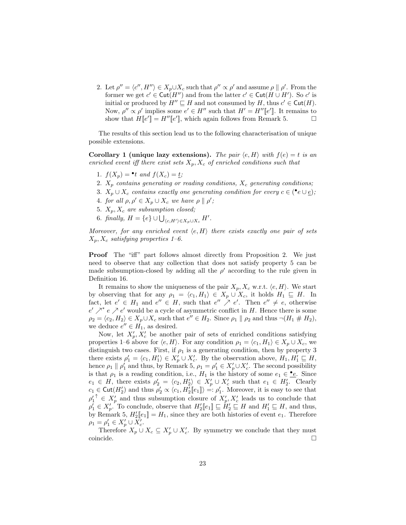2. Let  $\rho'' = \langle c'', H'' \rangle \in X_p \cup X_c$  such that  $\rho'' \propto \rho'$  and assume  $\rho \parallel \rho'$ . From the former we get  $c' \in \text{Cut}(H'')$  and from the latter  $c' \in \text{Cut}(H \cup H')$ . So  $c'$  is initial or produced by  $H'' \sqsubseteq H$  and not consumed by H, thus  $c' \in \text{Cut}(H)$ . Now,  $\rho'' \propto \rho'$  implies some  $e' \in H''$  such that  $H' = H''[e']$ . It remains to show that  $H[[e']]=H''[[e'],$  which again follows from Remark 5.  $\square$ 

The results of this section lead us to the following characterisation of unique possible extensions.

Corollary 1 (unique lazy extensions). The pair  $\langle e, H \rangle$  with  $f(e) = t$  is an enriched event iff there exist sets  $X_p, X_c$  of enriched conditions such that

- 1.  $f(X_p) = \bullet t$  and  $f(X_c) = \underline{t}$ ;
- 2.  $X_p$  contains generating or reading conditions,  $X_c$  generating conditions;
- 3.  $X_p \cup X_c$  contains exactly one generating condition for every  $c \in (\bullet e \cup \underline{e})$ ;
- 4. for all  $\rho, \rho' \in X_p \cup X_c$  we have  $\rho \parallel \rho'$ ;
- 5.  $X_p$ ,  $X_c$  are subsumption closed;
- 6. finally,  $H = \{e\} \cup \bigcup_{\langle c, H' \rangle \in X_p \cup X_c} H'.$

Moreover, for any enriched event  $\langle e, H \rangle$  there exists exactly one pair of sets  $X_p, X_c$  satisfying properties 1–6.

**Proof** The "iff" part follows almost directly from Proposition 2. We just need to observe that any collection that does not satisfy property 5 can be made subsumption-closed by adding all the  $\rho'$  according to the rule given in Definition 16.

It remains to show the uniqueness of the pair  $X_p, X_c$  w.r.t.  $\langle e, H \rangle$ . We start by observing that for any  $\rho_1 = \langle c_1, H_1 \rangle \in X_p \cup X_c$ , it holds  $H_1 \subseteq H$ . In fact, let  $e' \in H_1$  and  $e'' \in H$ , such that  $e'' \nearrow e'$ . Then  $e'' \neq e$ , otherwise  $e' \nearrow^* e \nearrow e'$  would be a cycle of asymmetric conflict in H. Hence there is some  $\rho_2 = \langle c_2, H_2 \rangle \in X_p \cup X_c$  such that  $e'' \in H_2$ . Since  $\rho_1 \parallel \rho_2$  and thus  $\neg (H_1 \# H_2)$ , we deduce  $e'' \in H_1$ , as desired.

Now, let  $X'_p, X'_c$  be another pair of sets of enriched conditions satisfying properties 1–6 above for  $\langle e, H \rangle$ . For any condition  $\rho_1 = \langle c_1, H_1 \rangle \in X_p \cup X_c$ , we distinguish two cases. First, if  $\rho_1$  is a generating condition, then by property 3 there exists  $\rho'_1 = \langle c_1, H'_1 \rangle \in X'_{p} \cup X'_{c}$ . By the observation above,  $H_1, H'_1 \sqsubseteq H$ , hence  $\rho_1 \parallel \rho'_1$  and thus, by Remark 5,  $\rho_1 = \rho'_1 \in X'_{p} \cup X'_{c}$ . The second possibility is that  $\rho_1$  is a reading condition, i.e.,  $H_1$  is the history of some  $e_1 \in \mathcal{C}$ . Since  $e_1 \in H$ , there exists  $\rho'_2 = \langle c_2, H'_2 \rangle \in X'_p \cup X'_c$  such that  $e_1 \in H'_2$ . Clearly  $c_1 \in \text{Cut}(H_2')$  and thus  $\rho_2' \propto \langle c_1, H_2' [e_1] \rangle =: \rho_1'.$  Moreover, it is easy to see that  $\rho'_1{}^{\uparrow} \in X'_p$  and thus subsumption closure of  $X'_p, X'_c$  leads us to conclude that  $\rho'_1 \in X'_{p}$ . To conclude, observe that  $H'_2[\![e_1]\!] \sqsubseteq H'_2 \sqsubseteq H$  and  $H'_1 \sqsubseteq H$ , and thus, by Remark 5,  $H'_2\llbracket e_1 \rrbracket = H_1$ , since they are both histories of event  $e_1$ . Therefore  $\rho_1 = \rho'_1 \in X'_p \cup X'_c.$ 

Therefore  $X_p \cup X_c \subseteq X'_p \cup X'_c$ . By symmetry we conclude that they must coincide.  $\Box$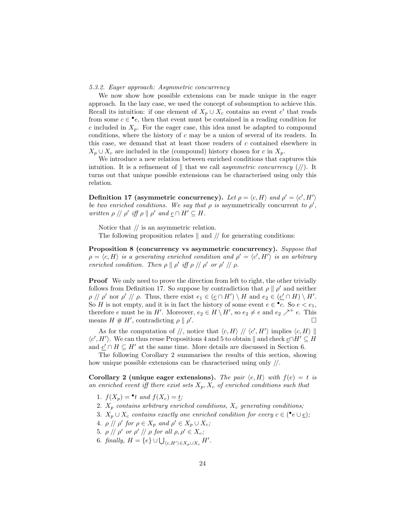5.3.2. Eager approach: Asymmetric concurrency

We now show how possible extensions can be made unique in the eager approach. In the lazy case, we used the concept of subsumption to achieve this. Recall its intuition: if one element of  $X_p \cup X_c$  contains an event e' that reads from some  $c \in \bullet e$ , then that event must be contained in a reading condition for c included in  $X_p$ . For the eager case, this idea must be adapted to compound conditions, where the history of  $c$  may be a union of several of its readers. In this case, we demand that at least those readers of c contained elsewhere in  $X_p \cup X_c$  are included in the (compound) history chosen for c in  $X_p$ .

We introduce a new relation between enriched conditions that captures this intuition. It is a refinement of  $\parallel$  that we call asymmetric concurrency (//). It turns out that unique possible extensions can be characterised using only this relation.

Definition 17 (asymmetric concurrency). Let  $\rho = \langle c, H \rangle$  and  $\rho' = \langle c', H' \rangle$ be two enriched conditions. We say that  $\rho$  is asymmetrically concurrent to  $\rho'$ , written  $\rho \, || \, \rho'$  iff  $\rho \, || \, \rho'$  and  $\underline{c} \cap H' \subseteq H$ .

Notice that  $//$  is an asymmetric relation.

The following proposition relates  $\parallel$  and  $\parallel$  for generating conditions:

Proposition 8 (concurrency vs asymmetric concurrency). Suppose that  $\rho = \langle c, H \rangle$  is a generating enriched condition and  $\rho' = \langle c', H' \rangle$  is an arbitrary enriched condition. Then  $\rho \parallel \rho'$  iff  $\rho \parallel / \rho'$  or  $\rho' \parallel / \rho$ .

**Proof** We only need to prove the direction from left to right, the other trivially follows from Definition 17. So suppose by contradiction that  $\rho \parallel \rho'$  and neither  $\rho \, \text{if} \, \rho' \text{ nor } \rho' \text{ if } \rho.$  Thus, there exist  $e_1 \in (\underline{c} \cap H') \setminus H$  and  $e_2 \in (\underline{c'} \cap H) \setminus H'.$ So H is not empty, and it is in fact the history of some event  $e \in \bullet c$ . So  $e < e_1$ , therefore e must be in H'. Moreover,  $e_2 \in H \setminus H'$ , so  $e_2 \neq e$  and  $e_2 \nearrow^+ e$ . This means  $H \# H'$ , contradicting  $\rho \parallel \rho'$ . В последните последните последните последните последните последните последните последните последните последн<br>В последните последните последните последните последните последните последните последните последните последнит

As for the computation of  $\ket{\prime}$ , notice that  $\bra{c, H}$   $\ket{\prime}$   $\bra{c', H'}$  implies  $\bra{c, H}$  $\langle c', H' \rangle$ . We can thus reuse Propositions 4 and 5 to obtain  $\parallel$  and check  $c \cap H' \subseteq H$ and  $\underline{c}' \cap H \subseteq H'$  at the same time. More details are discussed in Section 6.

The following Corollary 2 summarises the results of this section, showing how unique possible extensions can be characterised using only //.

Corollary 2 (unique eager extensions). The pair  $\langle e, H \rangle$  with  $f(e) = t$  is an enriched event iff there exist sets  $X_p, X_c$  of enriched conditions such that

- 1.  $f(X_p) = \bullet t$  and  $f(X_c) = \underline{t}$ ;
- 2.  $X_p$  contains arbitrary enriched conditions,  $X_c$  generating conditions;
- 3.  $X_p \cup X_c$  contains exactly one enriched condition for every  $c \in (\bullet e \cup \underline{e});$
- 4.  $\rho \, \text{/}\text{/} \, \rho'$  for  $\rho \in X_p$  and  $\rho' \in X_p \cup X_c$ ;
- 5.  $\rho \text{ // } \rho'$  or  $\rho' \text{ // } \rho$  for all  $\rho, \rho' \in X_c$ ;
- 6. finally,  $H = \{e\} \cup \bigcup_{\langle c, H' \rangle \in X_p \cup X_c} H'.$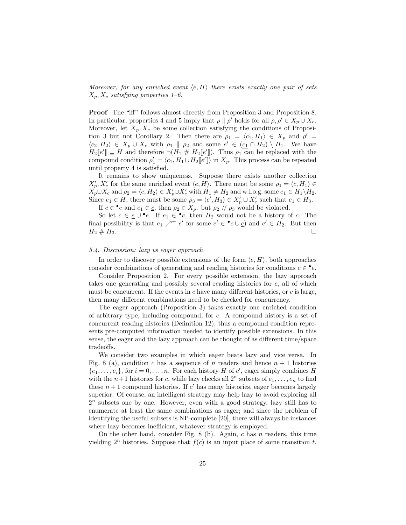Moreover, for any enriched event  $\langle e, H \rangle$  there exists exactly one pair of sets  $X_p, X_c$  satisfying properties 1–6.

Proof The "iff" follows almost directly from Proposition 3 and Proposition 8. In particular, properties 4 and 5 imply that  $\rho \parallel \rho'$  holds for all  $\rho, \rho' \in X_p \cup X_c$ . Moreover, let  $X_p, X_c$  be some collection satisfying the conditions of Proposition 3 but not Corollary 2. Then there are  $\rho_1 = \langle c_1, H_1 \rangle \in X_p$  and  $\rho' =$  $\langle c_2, H_2 \rangle \in X_p \cup X_c$  with  $\rho_1 \parallel \rho_2$  and some  $e' \in (c_1 \cap H_2) \setminus H_1$ . We have  $H_2\llbracket e' \rrbracket \subseteq H$  and therefore  $\neg(H_1 \# H_2\llbracket e' \rrbracket)$ . Thus  $\rho_1$  can be replaced with the compound condition  $\rho'_1 = \langle c_1, H_1 \cup H_2[[e']] \rangle$  in  $X_p$ . This process can be repeated until property 4 is satisfied.

It remains to show uniqueness. Suppose there exists another collection  $X'_p, X'_c$  for the same enriched event  $\langle e, H \rangle$ . There must be some  $\rho_1 = \langle e, H_1 \rangle \in$  $X_{p}^{'} \cup X_{c}$  and  $\rho_2 = \langle c, H_2 \rangle \in X_{p}' \cup X_{c}'$  with  $H_1 \neq H_2$  and w.l.o.g. some  $e_1 \in H_1 \backslash H_2$ . Since  $e_1 \in H$ , there must be some  $\rho_3 = \langle c', H_3 \rangle \in X_p' \cup X_c'$  such that  $e_1 \in H_3$ . If  $c \in \bullet e$  and  $e_1 \in \underline{c}$ , then  $\rho_2 \in X_p$ , but  $\rho_2 \text{ // } \rho_3$  would be violated.

So let  $c \in \underline{e} \cup \bullet e$ . If  $e_1 \in \bullet c$ , then  $H_2$  would not be a history of c. The final possibility is that  $e_1 \nearrow^+ e'$  for some  $e' \in \cdot^{\bullet}c \cup \underline{c}$  and  $e' \in H_2$ . But then  $H_2 \# H_3.$ 

#### 5.4. Discussion: lazy vs eager approach

In order to discover possible extensions of the form  $\langle e, H \rangle$ , both approaches consider combinations of generating and reading histories for conditions  $c \in \bullet e$ .

Consider Proposition 2. For every possible extension, the lazy approach takes one generating and possibly several reading histories for c, all of which must be concurrent. If the events in  $\mathfrak c$  have many different histories, or  $\mathfrak c$  is large, then many different combinations need to be checked for concurrency.

The eager approach (Proposition 3) takes exactly one enriched condition of arbitrary type, including compound, for c. A compound history is a set of concurrent reading histories (Definition 12); thus a compound condition represents pre-computed information needed to identify possible extensions. In this sense, the eager and the lazy approach can be thought of as different time/space tradeoffs.

We consider two examples in which eager beats lazy and vice versa. In Fig. 8 (a), condition c has a sequence of n readers and hence  $n + 1$  histories  $\{e_1, \ldots, e_i\}$ , for  $i = 0, \ldots, n$ . For each history H of c', eager simply combines H with the  $n+1$  histories for c, while lazy checks all  $2^n$  subsets of  $e_1, \ldots, e_n$  to find these  $n+1$  compound histories. If  $c'$  has many histories, eager becomes largely superior. Of course, an intelligent strategy may help lazy to avoid exploring all  $2<sup>n</sup>$  subsets one by one. However, even with a good strategy, lazy still has to enumerate at least the same combinations as eager; and since the problem of identifying the useful subsets is NP-complete [20], there will always be instances where lazy becomes inefficient, whatever strategy is employed.

On the other hand, consider Fig. 8 (b). Again,  $c$  has  $n$  readers, this time yielding  $2^n$  histories. Suppose that  $f(c)$  is an input place of some transition t.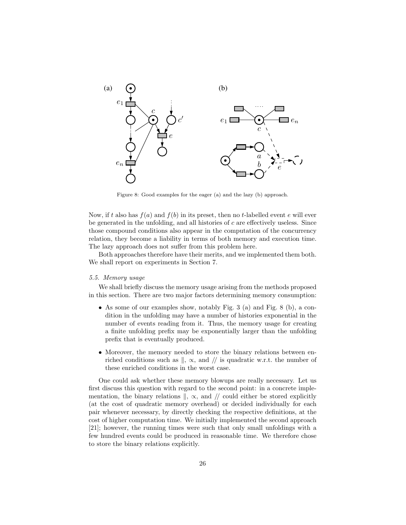

Figure 8: Good examples for the eager (a) and the lazy (b) approach.

Now, if t also has  $f(a)$  and  $f(b)$  in its preset, then no t-labelled event e will ever be generated in the unfolding, and all histories of  $c$  are effectively useless. Since those compound conditions also appear in the computation of the concurrency relation, they become a liability in terms of both memory and execution time. The lazy approach does not suffer from this problem here.

Both approaches therefore have their merits, and we implemented them both. We shall report on experiments in Section 7.

## 5.5. Memory usage

We shall briefly discuss the memory usage arising from the methods proposed in this section. There are two major factors determining memory consumption:

- As some of our examples show, notably Fig. 3 (a) and Fig. 8 (b), a condition in the unfolding may have a number of histories exponential in the number of events reading from it. Thus, the memory usage for creating a finite unfolding prefix may be exponentially larger than the unfolding prefix that is eventually produced.
- Moreover, the memory needed to store the binary relations between enriched conditions such as  $\parallel$ ,  $\propto$ , and  $\parallel$  is quadratic w.r.t. the number of these enriched conditions in the worst case.

One could ask whether these memory blowups are really necessary. Let us first discuss this question with regard to the second point: in a concrete implementation, the binary relations  $\parallel$ ,  $\propto$ , and  $\parallel$  could either be stored explicitly (at the cost of quadratic memory overhead) or decided individually for each pair whenever necessary, by directly checking the respective definitions, at the cost of higher computation time. We initially implemented the second approach [21]; however, the running times were such that only small unfoldings with a few hundred events could be produced in reasonable time. We therefore chose to store the binary relations explicitly.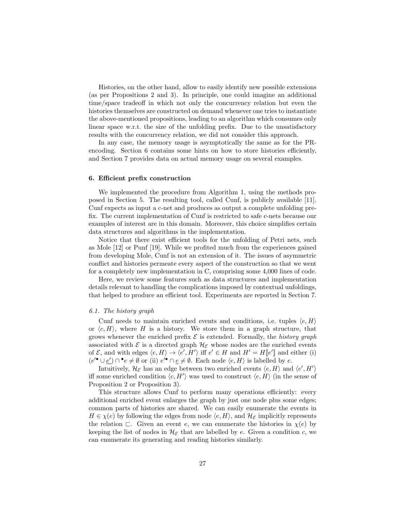Histories, on the other hand, allow to easily identify new possible extensions (as per Propositions 2 and 3). In principle, one could imagine an additional time/space tradeoff in which not only the concurrency relation but even the histories themselves are constructed on demand whenever one tries to instantiate the above-mentioned propositions, leading to an algorithm which consumes only linear space w.r.t. the size of the unfolding prefix. Due to the unsatisfactory results with the concurrency relation, we did not consider this approach.

In any case, the memory usage is asymptotically the same as for the PRencoding. Section 6 contains some hints on how to store histories efficiently, and Section 7 provides data on actual memory usage on several examples.

## 6. Efficient prefix construction

We implemented the procedure from Algorithm 1, using the methods proposed in Section 5. The resulting tool, called Cunf, is publicly available [11]. Cunf expects as input a c-net and produces as output a complete unfolding prefix. The current implementation of Cunf is restricted to safe c-nets because our examples of interest are in this domain. Moreover, this choice simplifies certain data structures and algorithms in the implementation.

Notice that there exist efficient tools for the unfolding of Petri nets, such as Mole [12] or Punf [19]. While we profited much from the experiences gained from developing Mole, Cunf is not an extension of it. The issues of asymmetric conflict and histories permeate every aspect of the construction so that we went for a completely new implementation in C, comprising some 4,000 lines of code.

Here, we review some features such as data structures and implementation details relevant to handling the complications imposed by contextual unfoldings, that helped to produce an efficient tool. Experiments are reported in Section 7.

#### 6.1. The history graph

Cunf needs to maintain enriched events and conditions, i.e. tuples  $\langle e, H \rangle$ or  $\langle c, H \rangle$ , where H is a history. We store them in a graph structure, that grows whenever the enriched prefix  $\mathcal E$  is extended. Formally, the history graph associated with  $\mathcal E$  is a directed graph  $\mathcal H_{\mathcal E}$  whose nodes are the enriched events of  $\mathcal{E}$ , and with edges  $\langle e, H \rangle \to \langle e', H' \rangle$  iff  $e' \in H$  and  $H' = H[[e']]$  and either (i)  $(e'^{\bullet} \cup e') \cap^{\bullet} e \neq \emptyset$  or (ii)  $e'^{\bullet} \cap e \neq \emptyset$ . Each node  $\langle e, H \rangle$  is labelled by  $e$ .

Intuitively,  $\mathcal{H}_{\mathcal{E}}$  has an edge between two enriched events  $\langle e, H \rangle$  and  $\langle e', H' \rangle$ iff some enriched condition  $\langle c, H' \rangle$  was used to construct  $\langle e, H \rangle$  (in the sense of Proposition 2 or Proposition 3).

This structure allows Cunf to perform many operations efficiently: every additional enriched event enlarges the graph by just one node plus some edges; common parts of histories are shared. We can easily enumerate the events in  $H \in \chi(e)$  by following the edges from node  $\langle e, H \rangle$ , and  $\mathcal{H}_{\mathcal{E}}$  implicitly represents the relation  $\Box$ . Given an event e, we can enumerate the histories in  $\chi(e)$  by keeping the list of nodes in  $\mathcal{H}_{\mathcal{E}}$  that are labelled by e. Given a condition c, we can enumerate its generating and reading histories similarly.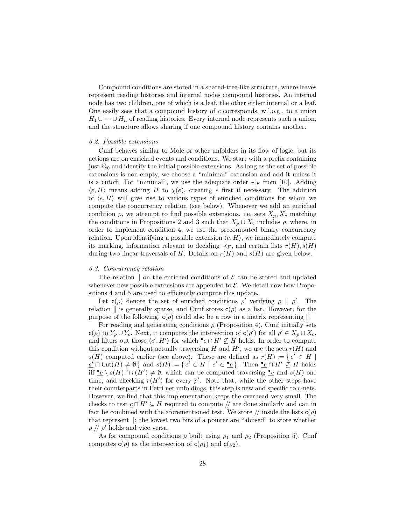Compound conditions are stored in a shared-tree-like structure, where leaves represent reading histories and internal nodes compound histories. An internal node has two children, one of which is a leaf, the other either internal or a leaf. One easily sees that a compound history of c corresponds, w.l.o.g., to a union  $H_1 \cup \cdots \cup H_n$  of reading histories. Every internal node represents such a union, and the structure allows sharing if one compound history contains another.

#### 6.2. Possible extensions

Cunf behaves similar to Mole or other unfolders in its flow of logic, but its actions are on enriched events and conditions. We start with a prefix containing just  $\hat{m}_0$  and identify the initial possible extensions. As long as the set of possible extensions is non-empty, we choose a "minimal" extension and add it unless it is a cutoff. For "minimal", we use the adequate order  $\prec_F$  from [10]. Adding  $\langle e, H \rangle$  means adding H to  $\chi(e)$ , creating e first if necessary. The addition of  $\langle e, H \rangle$  will give rise to various types of enriched conditions for whom we compute the concurrency relation (see below). Whenever we add an enriched condition  $\rho$ , we attempt to find possible extensions, i.e. sets  $X_p, X_c$  matching the conditions in Propositions 2 and 3 such that  $X_p \cup X_c$  includes  $\rho$ , where, in order to implement condition 4, we use the precomputed binary concurrency relation. Upon identifying a possible extension  $\langle e, H \rangle$ , we immediately compute its marking, information relevant to deciding  $\prec_F$ , and certain lists  $r(H)$ ,  $s(H)$ during two linear traversals of H. Details on  $r(H)$  and  $s(H)$  are given below.

#### 6.3. Concurrency relation

The relation  $\parallel$  on the enriched conditions of  $\mathcal E$  can be stored and updated whenever new possible extensions are appended to  $\mathcal{E}$ . We detail now how Propositions 4 and 5 are used to efficiently compute this update.

Let  $c(\rho)$  denote the set of enriched conditions  $\rho'$  verifying  $\rho \parallel \rho'$ . The relation  $\parallel$  is generally sparse, and Cunf stores  $c(\rho)$  as a list. However, for the purpose of the following,  $c(\rho)$  could also be a row in a matrix representing  $\parallel$ .

For reading and generating conditions  $\rho$  (Proposition 4), Cunf initially sets  $c(\rho)$  to  $Y_p \cup Y_c$ . Next, it computes the intersection of  $c(\rho')$  for all  $\rho' \in X_p \cup X_c$ , and filters out those  $\langle c', H' \rangle$  for which  $\bullet \in \cap H' \nsubseteq H$  holds. In order to compute this condition without actually traversing  $H$  and  $H'$ , we use the sets  $r(H)$  and  $s(H)$  computed earlier (see above). These are defined as  $r(H) := \{e' \in H \mid$  $\underline{e'} \cap \text{Cut}(H) \neq \emptyset$  and  $s(H) := \{ e' \in H \mid e' \in \underline{\bullet}e \}$ . Then  $\underline{\bullet}e \cap H' \nsubseteq H$  holds iff  $\bullet e \setminus s(H) \cap r(H') \neq \emptyset$ , which can be computed traversing  $\bullet e$  and  $s(H)$  one time, and checking  $r(H')$  for every  $\rho'$ . Note that, while the other steps have their counterparts in Petri net unfoldings, this step is new and specific to c-nets. However, we find that this implementation keeps the overhead very small. The checks to test  $c \cap H' \subseteq H$  required to compute // are done similarly and can in fact be combined with the aforementioned test. We store  $//$  inside the lists  $c(\rho)$ that represent  $\parallel$ : the lowest two bits of a pointer are "abused" to store whether  $\rho$  //  $\rho'$  holds and vice versa.

As for compound conditions  $\rho$  built using  $\rho_1$  and  $\rho_2$  (Proposition 5), Cunf computes  $c(\rho)$  as the intersection of  $c(\rho_1)$  and  $c(\rho_2)$ .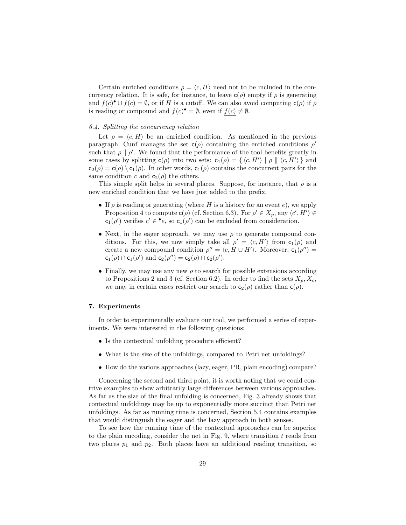Certain enriched conditions  $\rho = \langle c, H \rangle$  need not to be included in the concurrency relation. It is safe, for instance, to leave  $c(\rho)$  empty if  $\rho$  is generating and  $f(c)$ <sup>•</sup>  $\cup$   $f(c) = \emptyset$ , or if H is a cutoff. We can also avoid computing  $c(\rho)$  if  $\rho$ is reading or compound and  $f(c)^{\bullet} = \emptyset$ , even if  $f(c) \neq \emptyset$ .

## 6.4. Splitting the concurrency relation

Let  $\rho = \langle c, H \rangle$  be an enriched condition. As mentioned in the previous paragraph, Cunf manages the set  $c(\rho)$  containing the enriched conditions  $\rho'$ such that  $\rho \parallel \rho'$ . We found that the performance of the tool benefits greatly in some cases by splitting  $c(\rho)$  into two sets:  $c_1(\rho) = \{ \langle c, H' \rangle \mid \rho \parallel \langle c, H' \rangle \}$  and  $c_2(\rho) = c(\rho) \setminus c_1(\rho)$ . In other words,  $c_1(\rho)$  contains the concurrent pairs for the same condition c and  $c_2(\rho)$  the others.

This simple split helps in several places. Suppose, for instance, that  $\rho$  is a new enriched condition that we have just added to the prefix.

- If  $\rho$  is reading or generating (where H is a history for an event e), we apply Proposition 4 to compute  $c(\rho)$  (cf. Section 6.3). For  $\rho' \in X_p$ , any  $\langle c', H' \rangle \in$  $c_1(\rho')$  verifies  $c' \in \bullet e$ , so  $c_1(\rho')$  can be excluded from consideration.
- Next, in the eager approach, we may use  $\rho$  to generate compound conditions. For this, we now simply take all  $\rho' = \langle c, H' \rangle$  from  $c_1(\rho)$  and create a new compound condition  $\rho'' = \langle c, H \cup H' \rangle$ . Moreover,  $c_1(\rho'') =$  $c_1(\rho) \cap c_1(\rho')$  and  $c_2(\rho'') = c_2(\rho) \cap c_2(\rho').$
- Finally, we may use any new  $\rho$  to search for possible extensions according to Propositions 2 and 3 (cf. Section 6.2). In order to find the sets  $X_p$ ,  $X_c$ , we may in certain cases restrict our search to  $c_2(\rho)$  rather than  $c(\rho)$ .

# 7. Experiments

In order to experimentally evaluate our tool, we performed a series of experiments. We were interested in the following questions:

- Is the contextual unfolding procedure efficient?
- What is the size of the unfoldings, compared to Petri net unfoldings?
- How do the various approaches (lazy, eager, PR, plain encoding) compare?

Concerning the second and third point, it is worth noting that we could contrive examples to show arbitrarily large differences between various approaches. As far as the size of the final unfolding is concerned, Fig. 3 already shows that contextual unfoldings may be up to exponentially more succinct than Petri net unfoldings. As far as running time is concerned, Section 5.4 contains examples that would distinguish the eager and the lazy approach in both senses.

To see how the running time of the contextual approaches can be superior to the plain encoding, consider the net in Fig. 9, where transition  $t$  reads from two places  $p_1$  and  $p_2$ . Both places have an additional reading transition, so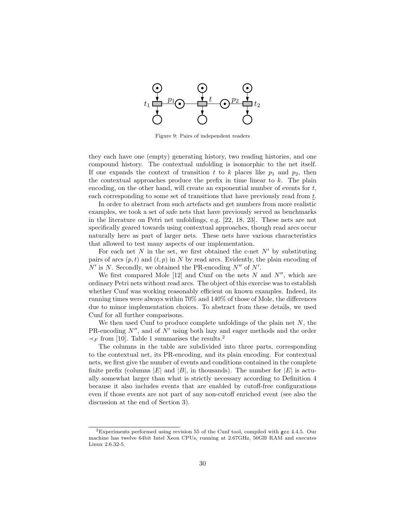

Figure 9: Pairs of independent readers

they each have one (empty) generating history, two reading histories, and one compound history. The contextual unfolding is isomorphic to the net itself. If one expands the context of transition t to k places like  $p_1$  and  $p_2$ , then the contextual approaches produce the prefix in time linear to k. The plain encoding, on the other hand, will create an exponential number of events for  $t$ , each corresponding to some set of transitions that have previously read from t.

In order to abstract from such artefacts and get numbers from more realistic examples, we took a set of safe nets that have previously served as benchmarks in the literature on Petri net unfoldings, e.g. [22, 18, 23]. These nets are not specifically geared towards using contextual approaches, though read arcs occur naturally here as part of larger nets. These nets have various characteristics that allowed to test many aspects of our implementation.

For each net N in the set, we first obtained the c-net  $N'$  by substituting pairs of arcs  $(p, t)$  and  $(t, p)$  in N by read arcs. Evidently, the plain encoding of  $N'$  is N. Secondly, we obtained the PR-encoding  $N''$  of  $N'$ .

We first compared Mole [12] and Cunf on the nets N and  $N''$ , which are ordinary Petri nets without read arcs. The object of this exercise was to establish whether Cunf was working reasonably efficient on known examples. Indeed, its running times were always within 70% and 140% of those of Mole, the differences due to minor implementation choices. To abstract from these details, we used Cunf for all further comparisons.

We then used Cunf to produce complete unfoldings of the plain net  $N$ , the PR-encoding  $N''$ , and of  $N'$  using both lazy and eager methods and the order  $\prec_F$  from [10]. Table 1 summarises the results.<sup>2</sup>

The columns in the table are subdivided into three parts, corresponding to the contextual net, its PR-encoding, and its plain encoding. For contextual nets, we first give the number of events and conditions contained in the complete finite prefix (columns |E| and |B|, in thousands). The number for  $|E|$  is actually somewhat larger than what is strictly necessary according to Definition 4 because it also includes events that are enabled by cutoff-free configurations even if those events are not part of any non-cutoff enriched event (see also the discussion at the end of Section 3).

 ${}^{2}$ Experiments performed using revision 55 of the Cunf tool, compiled with gcc 4.4.5. Our machine has twelve 64bit Intel Xeon CPUs, running at 2.67GHz, 50GB RAM and executes Linux 2.6.32-5.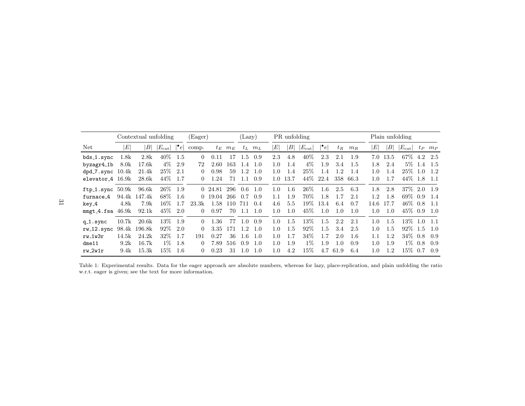|                              | Contextual unfolding |              |                 |           | (Eager)  |         |       | (Lazy) |             |                 | PR unfolding              |                 |           | Plain unfolding |       |                  |                           |                 |           |            |
|------------------------------|----------------------|--------------|-----------------|-----------|----------|---------|-------|--------|-------------|-----------------|---------------------------|-----------------|-----------|-----------------|-------|------------------|---------------------------|-----------------|-----------|------------|
| Net                          | E                    | $\mid$ $B$   | $ E_{\rm cut} $ | $\cdot_e$ | comp.    | $t_E$   | $m_E$ |        | $t_L$ $m_L$ | $\vert E \vert$ | $\left\vert B\right\vert$ | $ E_{\rm cut} $ | $\cdot_e$ | $t_R$           | $m_R$ | $\boldsymbol{E}$ | $\left\vert B\right\vert$ | $ E_{\rm cut} $ |           | $tp$ $m_P$ |
| bds_1.sync                   | 1.8k                 | 2.8k         | $40\%$          | - 1.5     | $\theta$ | 0.11    | 17    | 1.5    | 0.9         | 2.3             | 4.8                       | 40%             | 2.3       | 2.1             | 1.9   | 7.0              | 13.5                      | 67\% 4.2        |           | 2.5        |
| byzagr4_1b                   | 8.0 <sub>k</sub>     | 17.6k        | $4\%$           | 2.9       | 72       | 2.60    | 163   | 1.4    | 1.0         | 1.0             | 1.4                       | $4\%$           | 1.9       | 3.4             | 1.5   | 1.8              | 2.4                       |                 | $5\%$ 1.4 | -1.5       |
| $dpd_7.\text{sync}$ 10.4 $k$ |                      | 21.4k        | $25\%$          | -2.1      | $\theta$ | 0.98    | 59    | 1.2    | 1.0         | 1.0             | 1.4                       | 25%             | 1.4       | 1.2             | 1.4   | 1.0              | 1.4                       | 25\% 1.0        |           | -1.2       |
| elevator 4 16.9k             |                      | 28.6k        | 44\%            | -1.7      | $\left($ | 1.24    | 71    | 1.1    | 0.9         | $1.0^{\circ}$   | 13.7                      | 44\%            | 22.4      | 358             | 66.3  | 1.0              | 1.7                       | 44\% 1.8        |           | -1.1       |
| $ftp_1.sum 50.9k$            |                      | 96.6k        | 26\% 1.9        |           |          | 0 24.81 | 296   | 0.6    | 1.0         | 1.0             | 1.6                       | 26%             | 1.6       | 2.5             | 6.3   | 1.8              | 2.8                       | 37\% 2.0        |           | -1.9       |
| furnace_4                    |                      | 94.4k 147.4k | 68%             | -1.6      |          | 0 19.04 | 266   | 0.7    | 0.9         | 1.1             | 1.9                       | 70\%            | 1.8       | 1.7             | 2.1   | 1.2              | 1.8                       | $69\%$ 0.9      |           | -1.4       |
| key_4                        | 4.8k                 | 7.9k         | $16\%$          | 1.7       | 23.3k    | 1.58    | 110   | 711    | 0.4         | 4.6             | 5.5                       | $19\%$          | 13.4      | 6.4             | 0.7   | 14.6             | 17.7                      | $46\%$ 0.8      |           | -1.1       |
| $mmgt_4.fsa$ 46.9 $k$        |                      | 92.1k        | 45\% 2.0        |           | 0        | 0.97    | 70    | 1.1    | -1.0        | 1.0             | 1.0                       | 45\%            | 1.0       | 1.0             | 1.0   | 1.0              | 1.0                       | 45\% 0.9        |           | 1.0        |
| $q_1$ .sync                  | 10.7k                | 20.6k        | $13\%$          | 1.9       | $\Omega$ | 1.36    | 77    | 1.0    | 0.9         | 1.0             | 1.5                       | 13%             | 1.5       | 2.2             | 2.1   | 1.0              | 1.5                       | $13\%$ 1.0      |           | $-1.1$     |
| rw_12.sync 98.4k 196.8k      |                      |              | $92\%$          | -2.0      | $\Omega$ | 3.35    | 171   | 1.2    | 1.0         | 1.0             | 1.5                       | 92%             | 1.5       | 3.4             | 2.5   | 1.0              | 1.5                       | $92\%$ 1.5      |           | 1.0        |
| $rw_1w3r$                    | 14.5k                | 24.2k        | $32\%$          | -1.7      | 191      | 0.27    | 36    | 1.6    | 1.0         | 1.0             | 1.7                       | 34\%            | 1.7       | 2.0             | 1.6   | 1.1              | 1.2                       | $34\%$ 0.8      |           | 0.9        |
| $d$ me $11$                  | 9.2k                 | 16.7k        | $1\%$           | -1.8      | $\theta$ | 7.89    | 516   | 0.9    | 1.0         | 1.0             | 1.9                       | $1\%$           | 1.9       | 1.0             | 0.9   | 1.0              | 1.9                       | $1\%$           | 0.8       | 0.9        |
| $rw_2w1r$                    | 9.4k                 | 15.3k        | $15\%$          | 1.6       | 0        | 0.23    | 31    | 1.0    | 1.0         | 1.0             | 4.2                       | 15%             | 4.7       | 61.9            | 6.4   | 1.0              | 1.2.                      | 15\% 0.7        |           | 0.9        |

Table 1: Experimental results. Data for the eager approach are absolute numbers, whereas for lazy, <sup>p</sup>lace-replication, and <sup>p</sup>lain unfolding the ratio w.r.t. eager is given; see the text for more information.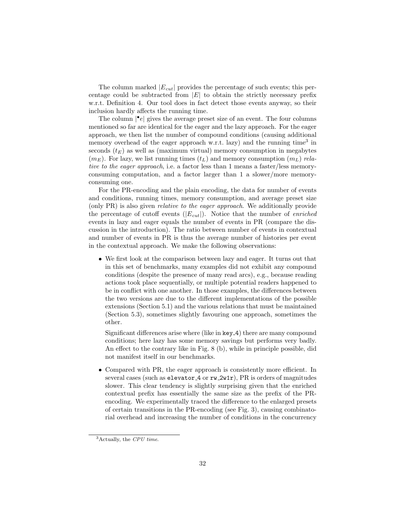The column marked  $|E_{cut}|$  provides the percentage of such events; this percentage could be subtracted from  $|E|$  to obtain the strictly necessary prefix w.r.t. Definition 4. Our tool does in fact detect those events anyway, so their inclusion hardly affects the running time.

The column  $\left| \bullet e \right|$  gives the average preset size of an event. The four columns mentioned so far are identical for the eager and the lazy approach. For the eager approach, we then list the number of compound conditions (causing additional memory overhead of the eager approach w.r.t. lazy) and the running time<sup>3</sup> in seconds  $(t_E)$  as well as (maximum virtual) memory consumption in megabytes  $(m_E)$ . For lazy, we list running times  $(t_L)$  and memory consumption  $(m_L)$  relative to the eager approach, i.e. a factor less than 1 means a faster/less memoryconsuming computation, and a factor larger than 1 a slower/more memoryconsuming one.

For the PR-encoding and the plain encoding, the data for number of events and conditions, running times, memory consumption, and average preset size (only PR) is also given relative to the eager approach. We additionally provide the percentage of cutoff events  $(|E_{cut}|)$ . Notice that the number of *enriched* events in lazy and eager equals the number of events in PR (compare the discussion in the introduction). The ratio between number of events in contextual and number of events in PR is thus the average number of histories per event in the contextual approach. We make the following observations:

• We first look at the comparison between lazy and eager. It turns out that in this set of benchmarks, many examples did not exhibit any compound conditions (despite the presence of many read arcs), e.g., because reading actions took place sequentially, or multiple potential readers happened to be in conflict with one another. In those examples, the differences between the two versions are due to the different implementations of the possible extensions (Section 5.1) and the various relations that must be maintained (Section 5.3), sometimes slightly favouring one approach, sometimes the other.

Significant differences arise where (like in key 4) there are many compound conditions; here lazy has some memory savings but performs very badly. An effect to the contrary like in Fig. 8 (b), while in principle possible, did not manifest itself in our benchmarks.

• Compared with PR, the eager approach is consistently more efficient. In several cases (such as elevator  $4$  or  $rw_2wtr$ ), PR is orders of magnitudes slower. This clear tendency is slightly surprising given that the enriched contextual prefix has essentially the same size as the prefix of the PRencoding. We experimentally traced the difference to the enlarged presets of certain transitions in the PR-encoding (see Fig. 3), causing combinatorial overhead and increasing the number of conditions in the concurrency

 $3$ Actually, the CPU time.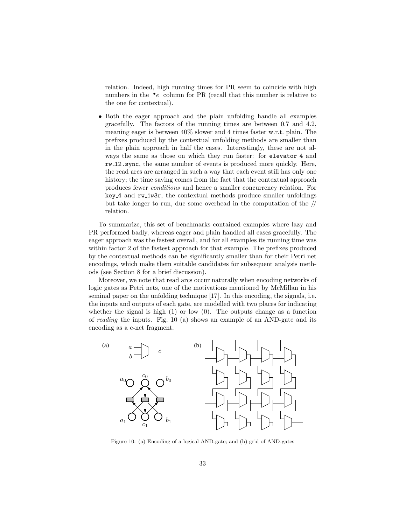relation. Indeed, high running times for PR seem to coincide with high numbers in the  $|\cdot e|$  column for PR (recall that this number is relative to the one for contextual).

• Both the eager approach and the plain unfolding handle all examples gracefully. The factors of the running times are between 0.7 and 4.2, meaning eager is between 40% slower and 4 times faster w.r.t. plain. The prefixes produced by the contextual unfolding methods are smaller than in the plain approach in half the cases. Interestingly, these are not always the same as those on which they run faster: for elevator 4 and rw 12.sync, the same number of events is produced more quickly. Here, the read arcs are arranged in such a way that each event still has only one history; the time saving comes from the fact that the contextual approach produces fewer conditions and hence a smaller concurrency relation. For key 4 and rw 1w3r, the contextual methods produce smaller unfoldings but take longer to run, due some overhead in the computation of the // relation.

To summarize, this set of benchmarks contained examples where lazy and PR performed badly, whereas eager and plain handled all cases gracefully. The eager approach was the fastest overall, and for all examples its running time was within factor 2 of the fastest approach for that example. The prefixes produced by the contextual methods can be significantly smaller than for their Petri net encodings, which make them suitable candidates for subsequent analysis methods (see Section 8 for a brief discussion).

Moreover, we note that read arcs occur naturally when encoding networks of logic gates as Petri nets, one of the motivations mentioned by McMillan in his seminal paper on the unfolding technique [17]. In this encoding, the signals, i.e. the inputs and outputs of each gate, are modelled with two places for indicating whether the signal is high  $(1)$  or low  $(0)$ . The outputs change as a function of reading the inputs. Fig. 10 (a) shows an example of an AND-gate and its encoding as a c-net fragment.



Figure 10: (a) Encoding of a logical AND-gate; and (b) grid of AND-gates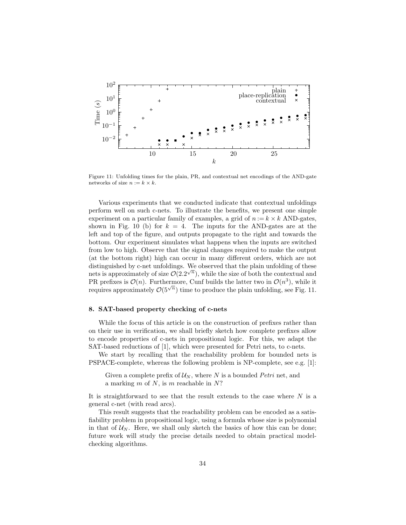

Figure 11: Unfolding times for the plain, PR, and contextual net encodings of the AND-gate networks of size  $n := k \times k$ .

Various experiments that we conducted indicate that contextual unfoldings perform well on such c-nets. To illustrate the benefits, we present one simple experiment on a particular family of examples, a grid of  $n := k \times k$  AND-gates, shown in Fig. 10 (b) for  $k = 4$ . The inputs for the AND-gates are at the left and top of the figure, and outputs propagate to the right and towards the bottom. Our experiment simulates what happens when the inputs are switched from low to high. Observe that the signal changes required to make the output (at the bottom right) high can occur in many different orders, which are not distinguished by c-net unfoldings. We observed that the plain unfolding of these nets is approximately of size  $\mathcal{O}(2.2^{\sqrt{n}})$ , while the size of both the contextual and PR prefixes is  $\mathcal{O}(n)$ . Furthermore, Cunf builds the latter two in  $\mathcal{O}(n^3)$ , while it requires approximately  $\mathcal{O}(5^{\sqrt{n}})$  time to produce the plain unfolding, see Fig. 11.

# 8. SAT-based property checking of c-nets

While the focus of this article is on the construction of prefixes rather than on their use in verification, we shall briefly sketch how complete prefixes allow to encode properties of c-nets in propositional logic. For this, we adapt the SAT-based reductions of [1], which were presented for Petri nets, to c-nets.

We start by recalling that the reachability problem for bounded nets is PSPACE-complete, whereas the following problem is NP-complete, see e.g. [1]:

Given a complete prefix of  $\mathcal{U}_N$ , where N is a bounded Petri net, and a marking  $m$  of  $N$ , is  $m$  reachable in  $N$ ?

It is straightforward to see that the result extends to the case where  $N$  is a general c-net (with read arcs).

This result suggests that the reachability problem can be encoded as a satisfiability problem in propositional logic, using a formula whose size is polynomial in that of  $U_N$ . Here, we shall only sketch the basics of how this can be done; future work will study the precise details needed to obtain practical modelchecking algorithms.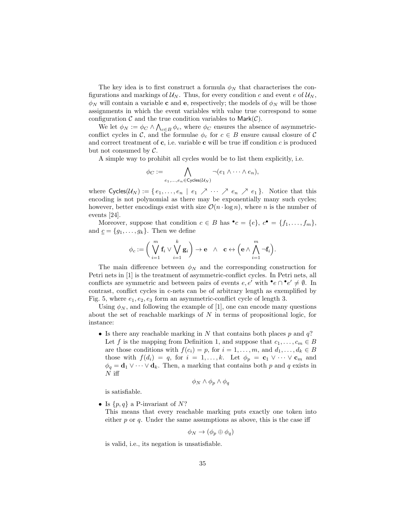The key idea is to first construct a formula  $\phi_N$  that characterises the configurations and markings of  $U_N$ . Thus, for every condition c and event e of  $U_N$ ,  $\phi_N$  will contain a variable **c** and **e**, respectively; the models of  $\phi_N$  will be those assignments in which the event variables with value true correspond to some configuration  $\mathcal C$  and the true condition variables to Mark $(\mathcal C)$ .

We let  $\phi_N := \phi_C \wedge \bigwedge_{c \in B} \phi_c$ , where  $\phi_C$  ensures the absence of asymmetricconflict cycles in C, and the formulae  $\phi_c$  for  $c \in B$  ensure causal closure of C and correct treatment of  $c$ , i.e. variable  $c$  will be true iff condition  $c$  is produced but not consumed by C.

A simple way to prohibit all cycles would be to list them explicitly, i.e.

$$
\phi_C := \bigwedge_{e_1,\ldots,e_n \in \text{Cycles}(\mathcal{U}_N)} \neg(e_1 \land \cdots \land e_n),
$$

where  $\text{Cycles}(\mathcal{U}_N) := \{e_1, \ldots, e_n \mid e_1 \nearrow \cdots \nearrow e_n \nearrow e_1\}.$  Notice that this encoding is not polynomial as there may be exponentially many such cycles; however, better encodings exist with size  $\mathcal{O}(n \cdot \log n)$ , where n is the number of events [24].

Moreover, suppose that condition  $c \in B$  has  $\bullet c = \{e\}, c \bullet = \{f_1, \ldots, f_m\},\$ and  $\underline{c} = \{g_1, \ldots, g_k\}$ . Then we define

$$
\phi_c:=\bigg(\bigvee_{i=1}^m \mathbf{f}_i\vee\bigvee_{i=1}^k \mathbf{g}_i\bigg)\to \mathbf{e}\quad\wedge\quad \mathbf{c}\leftrightarrow\Big(\mathbf{e}\wedge\bigwedge_{i=1}^m \neg\mathbf{f}_i\Big).
$$

The main difference between  $\phi_N$  and the corresponding construction for Petri nets in [1] is the treatment of asymmetric-conflict cycles. In Petri nets, all conflicts are symmetric and between pairs of events  $e, e'$  with  $\bullet e \cap \bullet e' \neq \emptyset$ . In contrast, conflict cycles in c-nets can be of arbitrary length as exemplified by Fig. 5, where  $e_1, e_2, e_3$  form an asymmetric-conflict cycle of length 3.

Using  $\phi_N$ , and following the example of [1], one can encode many questions about the set of reachable markings of  $N$  in terms of propositional logic, for instance:

• Is there any reachable marking in N that contains both places  $p$  and  $q$ ? Let f is the mapping from Definition 1, and suppose that  $c_1, \ldots, c_m \in B$ are those conditions with  $f(c_i) = p$ , for  $i = 1, \ldots, m$ , and  $d_1, \ldots, d_k \in B$ those with  $f(d_i) = q$ , for  $i = 1, ..., k$ . Let  $\phi_p = \mathbf{c}_1 \vee \cdots \vee \mathbf{c}_m$  and  $\phi_q = \mathbf{d}_1 \vee \cdots \vee \mathbf{d}_k$ . Then, a marking that contains both p and q exists in  $N$  iff

$$
\phi_N \wedge \phi_p \wedge \phi_q
$$

is satisfiable.

• Is  $\{p,q\}$  a P-invariant of N?

This means that every reachable marking puts exactly one token into either  $p$  or  $q$ . Under the same assumptions as above, this is the case iff

$$
\phi_N \to (\phi_p \oplus \phi_q)
$$

is valid, i.e., its negation is unsatisfiable.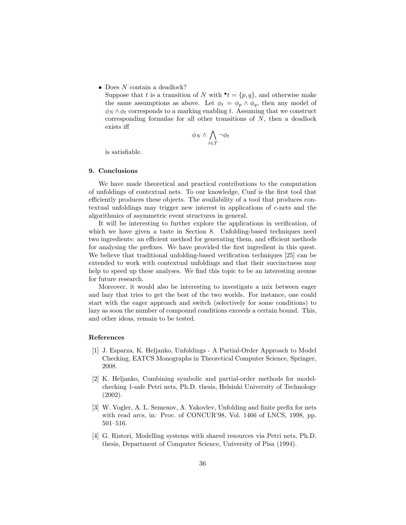• Does N contain a deadlock?

Suppose that t is a transition of N with  $\mathbf{t} = \{p, q\}$ , and otherwise make the same assumptions as above. Let  $\phi_t = \phi_p \wedge \phi_q$ , then any model of  $\phi_N \wedge \phi_t$  corresponds to a marking enabling t. Assuming that we construct corresponding formulae for all other transitions of  $N$ , then a deadlock exists iff

$$
\phi_N \wedge \bigwedge_{t \in T} \neg \phi_t
$$

is satisfiable.

## 9. Conclusions

We have made theoretical and practical contributions to the computation of unfoldings of contextual nets. To our knowledge, Cunf is the first tool that efficiently produces these objects. The availability of a tool that produces contextual unfoldings may trigger new interest in applications of c-nets and the algorithmics of asymmetric event structures in general.

It will be interesting to further explore the applications in verification, of which we have given a taste in Section 8. Unfolding-based techniques need two ingredients: an efficient method for generating them, and efficient methods for analysing the prefixes. We have provided the first ingredient in this quest. We believe that traditional unfolding-based verification techniques [25] can be extended to work with contextual unfoldings and that their succinctness may help to speed up these analyses. We find this topic to be an interesting avenue for future research.

Moreover, it would also be interesting to investigate a mix between eager and lazy that tries to get the best of the two worlds. For instance, one could start with the eager approach and switch (selectively for some conditions) to lazy as soon the number of compound conditions exceeds a certain bound. This, and other ideas, remain to be tested.

#### References

- [1] J. Esparza, K. Heljanko, Unfoldings A Partial-Order Approach to Model Checking, EATCS Monographs in Theoretical Computer Science, Springer, 2008.
- [2] K. Heljanko, Combining symbolic and partial-order methods for modelchecking 1-safe Petri nets, Ph.D. thesis, Helsinki University of Technology (2002).
- [3] W. Vogler, A. L. Semenov, A. Yakovlev, Unfolding and finite prefix for nets with read arcs, in: Proc. of CONCUR'98, Vol. 1466 of LNCS, 1998, pp. 501–516.
- [4] G. Ristori, Modelling systems with shared resources via Petri nets, Ph.D. thesis, Department of Computer Science, University of Pisa (1994).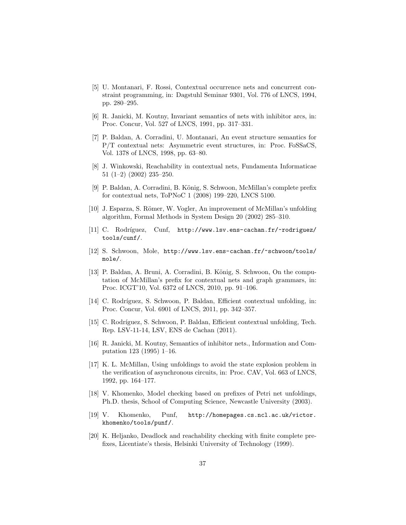- [5] U. Montanari, F. Rossi, Contextual occurrence nets and concurrent constraint programming, in: Dagstuhl Seminar 9301, Vol. 776 of LNCS, 1994, pp. 280–295.
- [6] R. Janicki, M. Koutny, Invariant semantics of nets with inhibitor arcs, in: Proc. Concur, Vol. 527 of LNCS, 1991, pp. 317–331.
- [7] P. Baldan, A. Corradini, U. Montanari, An event structure semantics for P/T contextual nets: Asymmetric event structures, in: Proc. FoSSaCS, Vol. 1378 of LNCS, 1998, pp. 63–80.
- [8] J. Winkowski, Reachability in contextual nets, Fundamenta Informaticae 51 (1–2) (2002) 235–250.
- [9] P. Baldan, A. Corradini, B. König, S. Schwoon, McMillan's complete prefix for contextual nets, ToPNoC 1 (2008) 199–220, LNCS 5100.
- [10] J. Esparza, S. Römer, W. Vogler, An improvement of McMillan's unfolding algorithm, Formal Methods in System Design 20 (2002) 285–310.
- [11] C. Rodríguez, Cunf, http://www.lsv.ens-cachan.fr/~rodriguez/ tools/cunf/.
- [12] S. Schwoon, Mole, http://www.lsv.ens-cachan.fr/~schwoon/tools/ mole/.
- [13] P. Baldan, A. Bruni, A. Corradini, B. König, S. Schwoon, On the computation of McMillan's prefix for contextual nets and graph grammars, in: Proc. ICGT'10, Vol. 6372 of LNCS, 2010, pp. 91–106.
- [14] C. Rodríguez, S. Schwoon, P. Baldan, Efficient contextual unfolding, in: Proc. Concur, Vol. 6901 of LNCS, 2011, pp. 342–357.
- [15] C. Rodríguez, S. Schwoon, P. Baldan, Efficient contextual unfolding, Tech. Rep. LSV-11-14, LSV, ENS de Cachan (2011).
- [16] R. Janicki, M. Koutny, Semantics of inhibitor nets., Information and Computation 123 (1995) 1–16.
- [17] K. L. McMillan, Using unfoldings to avoid the state explosion problem in the verification of asynchronous circuits, in: Proc. CAV, Vol. 663 of LNCS, 1992, pp. 164–177.
- [18] V. Khomenko, Model checking based on prefixes of Petri net unfoldings, Ph.D. thesis, School of Computing Science, Newcastle University (2003).
- [19] V. Khomenko, Punf, http://homepages.cs.ncl.ac.uk/victor. khomenko/tools/punf/.
- [20] K. Heljanko, Deadlock and reachability checking with finite complete prefixes, Licentiate's thesis, Helsinki University of Technology (1999).